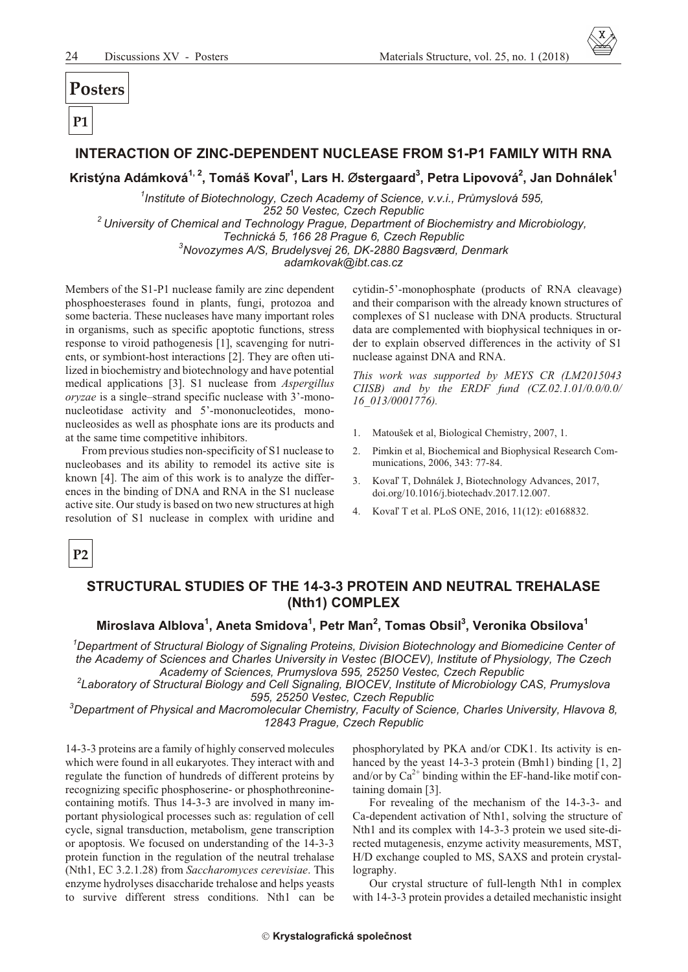## Posters

 $P<sub>1</sub>$ 



#### **INTERACTION OF ZINC-DEPENDENT NUCLEASE FROM S1-P1 FAMILY WITH RNA**

Kristýna Adámková<sup>1, 2</sup>, Tomáš Kovaľ<sup>1</sup>, Lars H. Østergaard<sup>3</sup>, Petra Lipovová<sup>2</sup>, Jan Dohnálek<sup>1</sup>

<sup>1</sup>Institute of Biotechnology, Czech Academy of Science, v.v.i., Průmyslová 595, 252 50 Vestec, Czech Republic <sup>2</sup> University of Chemical and Technology Prague, Department of Biochemistry and Microbiology, Technická 5, 166 28 Praque 6, Czech Republic <sup>3</sup>Novozymes A/S, Brudelysvej 26, DK-2880 Bagsværd, Denmark adamkovak@ibt.cas.cz

Members of the S1-P1 nuclease family are zinc dependent phosphoesterases found in plants, fungi, protozoa and some bacteria. These nucleases have many important roles in organisms, such as specific apoptotic functions, stress response to viroid pathogenesis [1], scavenging for nutrients, or symbiont-host interactions [2]. They are often utilized in biochemistry and biotechnology and have potential medical applications [3]. S1 nuclease from Aspergillus oryzae is a single-strand specific nuclease with 3'-mononucleotidase activity and 5'-mononucleotides, mononucleosides as well as phosphate ions are its products and at the same time competitive inhibitors.

From previous studies non-specificity of S1 nuclease to nucleobases and its ability to remodel its active site is known [4]. The aim of this work is to analyze the differences in the binding of DNA and RNA in the S1 nuclease active site. Our study is based on two new structures at high resolution of S1 nuclease in complex with uridine and cytidin-5'-monophosphate (products of RNA cleavage) and their comparison with the already known structures of complexes of S1 nuclease with DNA products. Structural data are complemented with biophysical techniques in order to explain observed differences in the activity of S1 nuclease against DNA and RNA.

This work was supported by MEYS CR (LM2015043 CIISB) and by the ERDF fund  $(CZ.02.1.01/0.0/0.0/$ 16 013/0001776).

- 1. Matoušek et al, Biological Chemistry, 2007, 1.
- $2.$ Pimkin et al, Biochemical and Biophysical Research Communications, 2006, 343: 77-84.
- Kovaľ T, Dohnálek J, Biotechnology Advances, 2017,  $3<sub>1</sub>$ doi.org/10.1016/j.biotechadv.2017.12.007.
- 4. Koval' T et al. PLoS ONE, 2016, 11(12): e0168832.

 $P<sub>2</sub>$ 

#### STRUCTURAL STUDIES OF THE 14-3-3 PROTEIN AND NEUTRAL TREHALASE (Nth1) COMPLEX

#### Miroslava Alblova<sup>1</sup>, Aneta Smidova<sup>1</sup>, Petr Man<sup>2</sup>, Tomas Obsil<sup>3</sup>, Veronika Obsilova<sup>1</sup>

<sup>1</sup>Department of Structural Biology of Signaling Proteins, Division Biotechnology and Biomedicine Center of the Academy of Sciences and Charles University in Vestec (BIOCEV), Institute of Physiology, The Czech Academy of Sciences, Prumyslova 595, 25250 Vestec, Czech Republic

<sup>2</sup>Laboratory of Structural Biology and Cell Signaling, BIOCEV, Institute of Microbiology CAS, Prumyslova 595, 25250 Vestec, Czech Republic

<sup>3</sup>Department of Physical and Macromolecular Chemistry, Faculty of Science, Charles University, Hlavova 8, 12843 Prague, Czech Republic

14-3-3 proteins are a family of highly conserved molecules which were found in all eukaryotes. They interact with and regulate the function of hundreds of different proteins by recognizing specific phosphoserine- or phosphothreoninecontaining motifs. Thus 14-3-3 are involved in many important physiological processes such as: regulation of cell cycle, signal transduction, metabolism, gene transcription or apoptosis. We focused on understanding of the 14-3-3 protein function in the regulation of the neutral trehalase (Nth1, EC 3.2.1.28) from Saccharomyces cerevisiae. This enzyme hydrolyses disaccharide trehalose and helps yeasts to survive different stress conditions. Nth1 can be

phosphorylated by PKA and/or CDK1. Its activity is enhanced by the yeast 14-3-3 protein (Bmh1) binding [1, 2] and/or by  $Ca^{2+}$  binding within the EF-hand-like motif containing domain [3].

For revealing of the mechanism of the 14-3-3- and Ca-dependent activation of Nth1, solving the structure of Nth1 and its complex with 14-3-3 protein we used site-directed mutagenesis, enzyme activity measurements, MST, H/D exchange coupled to MS, SAXS and protein crystallography.

Our crystal structure of full-length Nth1 in complex with 14-3-3 protein provides a detailed mechanistic insight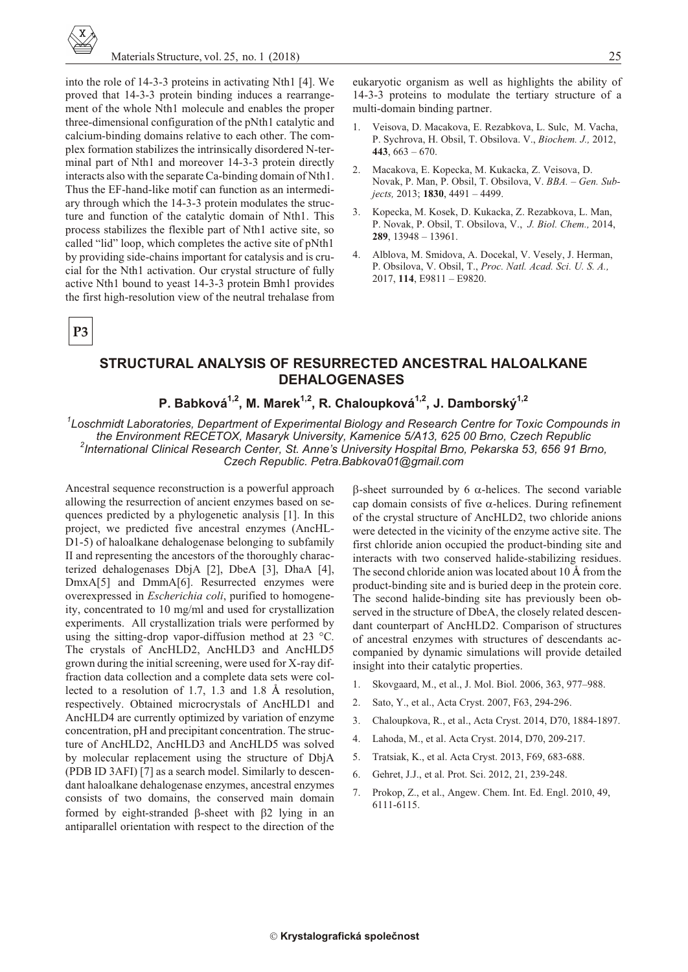into the role of 14-3-3 proteins in activating Nth1 [4]. We proved that 14-3-3 protein binding induces a rearrangement of the whole Nth1 molecule and enables the proper three-dimensional configuration of the pNth1 catalytic and calcium-binding domains relative to each other. The complex formation stabilizes the intrinsically disordered N-terminal part of Nth1 and moreover 14-3-3 protein directly interacts also with the separate Ca-binding domain of Nth1. Thus the EF-hand-like motif can function as an intermediary through which the 14-3-3 protein modulates the structure and function of the catalytic domain of Nth1. This process stabilizes the flexible part of Nth1 active site, so called "lid" loop, which completes the active site of pNth1 by providing side-chains important for catalysis and is crucial for the Nth1 activation. Our crystal structure of fully active Nth1 bound to yeast 14-3-3 protein Bmh1 provides the first high-resolution view of the neutral trehalase from eukaryotic organism as well as highlights the ability of 14-3-3 proteins to modulate the tertiary structure of a multi-domain binding partner.

- Veisova, D. Macakova, E. Rezabkova, L. Sulc, M. Vacha,  $\mathbf{1}$ P. Sychrova, H. Obsil, T. Obsilova. V., Biochem. J., 2012, 443,  $663 - 670$ .
- Macakova, E. Kopecka, M. Kukacka, Z. Veisova, D. 2. Novak, P. Man, P. Obsil, T. Obsilova, V. BBA. - Gen. Subjects, 2013; 1830, 4491 - 4499.
- 3. Kopecka, M. Kosek, D. Kukacka, Z. Rezabkova, L. Man, P. Novak, P. Obsil, T. Obsilova, V., J. Biol. Chem., 2014,  $289, 13948 - 13961.$
- Alblova, M. Smidova, A. Docekal, V. Vesely, J. Herman, 4. P. Obsilova, V. Obsil, T., Proc. Natl. Acad. Sci. U. S. A., 2017, 114, E9811 - E9820.

P<sub>3</sub>

#### STRUCTURAL ANALYSIS OF RESURRECTED ANCESTRAL HALOALKANE **DEHALOGENASES**

# P. Babková<sup>1,2</sup>, M. Marek<sup>1,2</sup>, R. Chaloupková<sup>1,2</sup>, J. Damborský<sup>1,2</sup>

<sup>1</sup>Loschmidt Laboratories, Department of Experimental Biology and Research Centre for Toxic Compounds in the Environment RECETOX, Masaryk University, Kamenice 5/A13, 625 00 Brno, Czech Republic <sup>2</sup>International Clinical Research Center, St. Anne's University Hospital Brno, Pekarska 53, 656 91 Brno, Czech Republic. Petra.Babkova01@gmail.com

Ancestral sequence reconstruction is a powerful approach allowing the resurrection of ancient enzymes based on sequences predicted by a phylogenetic analysis [1]. In this project, we predicted five ancestral enzymes (AncHL-D1-5) of haloalkane dehalogenase belonging to subfamily II and representing the ancestors of the thoroughly characterized dehalogenases DbjA [2], DbeA [3], DhaA [4], DmxA[5] and DmmA[6]. Resurrected enzymes were overexpressed in *Escherichia coli*, purified to homogeneity, concentrated to 10 mg/ml and used for crystallization experiments. All crystallization trials were performed by using the sitting-drop vapor-diffusion method at 23  $^{\circ}$ C. The crystals of AncHLD2, AncHLD3 and AncHLD5 grown during the initial screening, were used for X-ray diffraction data collection and a complete data sets were collected to a resolution of 1.7, 1.3 and 1.8 Å resolution, respectively. Obtained microcrystals of AncHLD1 and AncHLD4 are currently optimized by variation of enzyme concentration, pH and precipitant concentration. The structure of AncHLD2, AncHLD3 and AncHLD5 was solved by molecular replacement using the structure of DbjA (PDB ID 3AFI) [7] as a search model. Similarly to descendant haloalkane dehalogenase enzymes, ancestral enzymes consists of two domains, the conserved main domain formed by eight-stranded -sheet with 2 lying in an antiparallel orientation with respect to the direction of the

-sheet surrounded by 6 -helices. The second variable cap domain consists of five -helices. During refinement of the crystal structure of AncHLD2, two chloride anions were detected in the vicinity of the enzyme active site. The first chloride anion occupied the product-binding site and interacts with two conserved halide-stabilizing residues. The second chloride anion was located about 10 Å from the product-binding site and is buried deep in the protein core. The second halide-binding site has previously been observed in the structure of DbeA, the closely related descendant counterpart of AncHLD2. Comparison of structures of ancestral enzymes with structures of descendants accompanied by dynamic simulations will provide detailed insight into their catalytic properties.

- Skovgaard, M., et al., J. Mol. Biol. 2006, 363, 977-988.  $\mathbf{1}$ .
- Sato, Y., et al., Acta Cryst. 2007, F63, 294-296.  $\overline{2}$ .
- 3. Chaloupkova, R., et al., Acta Cryst. 2014, D70, 1884-1897.
- Lahoda, M., et al. Acta Cryst. 2014, D70, 209-217.  $\overline{4}$
- Tratsiak, K., et al. Acta Cryst. 2013, F69, 683-688. 5.
- Gehret, J.J., et al. Prot. Sci. 2012, 21, 239-248. 6.
- 7. Prokop, Z., et al., Angew. Chem. Int. Ed. Engl. 2010, 49, 6111-6115.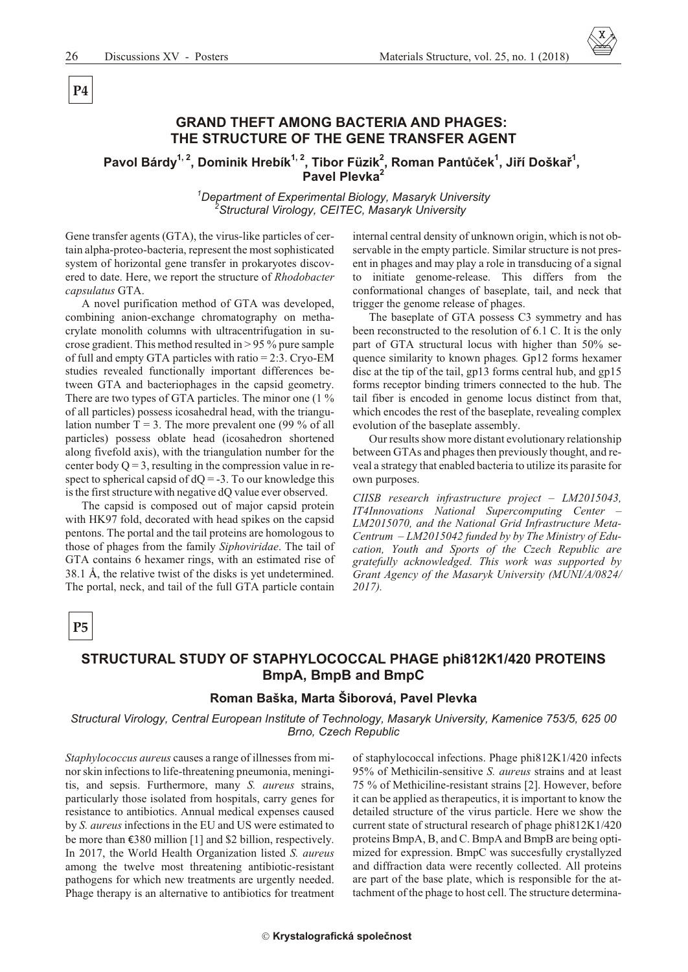P<sub>4</sub>

#### **GRAND THEFT AMONG BACTERIA AND PHAGES:** THE STRUCTURE OF THE GENE TRANSFER AGENT

### Pavol Bárdy<sup>1, 2</sup>, Dominik Hrebík<sup>1, 2</sup>, Tibor Füzik<sup>2</sup>, Roman Pantůček<sup>1</sup>, Jiří Doškař<sup>1</sup>, Pavel Plevka<sup>2</sup>

<sup>1</sup>Department of Experimental Biology, Masaryk University Structural Virology, CEITEC, Masaryk University

Gene transfer agents (GTA), the virus-like particles of certain alpha-proteo-bacteria, represent the most sophisticated system of horizontal gene transfer in prokaryotes discovered to date. Here, we report the structure of Rhodobacter capsulatus GTA.

A novel purification method of GTA was developed, combining anion-exchange chromatography on methacrylate monolith columns with ultracentrifugation in sucrose gradient. This method resulted in  $> 95\%$  pure sample of full and empty GTA particles with ratio =  $2:3$ . Cryo-EM studies revealed functionally important differences between GTA and bacteriophages in the capsid geometry. There are two types of GTA particles. The minor one (1 % of all particles) possess icosahedral head, with the triangulation number  $T = 3$ . The more prevalent one (99 % of all particles) possess oblate head (icosahedron shortened along fivefold axis), with the triangulation number for the center body  $Q = 3$ , resulting in the compression value in respect to spherical capsid of  $dQ = -3$ . To our knowledge this is the first structure with negative dQ value ever observed.

The capsid is composed out of major capsid protein with HK97 fold, decorated with head spikes on the capsid pentons. The portal and the tail proteins are homologous to those of phages from the family *Siphoviridae*. The tail of GTA contains 6 hexamer rings, with an estimated rise of 38.1 Å, the relative twist of the disks is yet undetermined. The portal, neck, and tail of the full GTA particle contain

internal central density of unknown origin, which is not observable in the empty particle. Similar structure is not present in phages and may play a role in transducing of a signal to initiate genome-release. This differs from the conformational changes of baseplate, tail, and neck that trigger the genome release of phages.

The baseplate of GTA possess C3 symmetry and has been reconstructed to the resolution of 6.1 C. It is the only part of GTA structural locus with higher than 50% sequence similarity to known phages. Gp12 forms hexamer disc at the tip of the tail, gp13 forms central hub, and gp15 forms receptor binding trimers connected to the hub. The tail fiber is encoded in genome locus distinct from that, which encodes the rest of the baseplate, revealing complex evolution of the baseplate assembly.

Our results show more distant evolutionary relationship between GTAs and phages then previously thought, and reveal a strategy that enabled bacteria to utilize its parasite for own purposes.

CIISB research infrastructure project - LM2015043, IT4Innovations National Supercomputing Center -LM2015070, and the National Grid Infrastructure Meta-Centrum - LM2015042 funded by by The Ministry of Education, Youth and Sports of the Czech Republic are gratefully acknowledged. This work was supported by Grant Agency of the Masaryk University (MUNI/A/0824/ 2017).

# P<sub>5</sub>

#### STRUCTURAL STUDY OF STAPHYLOCOCCAL PHAGE phi812K1/420 PROTEINS **BmpA, BmpB and BmpC**

#### Roman Baška, Marta Siborová, Pavel Plevka

Structural Virology, Central European Institute of Technology, Masaryk University, Kamenice 753/5, 625 00 **Brno, Czech Republic** 

Staphylococcus aureus causes a range of illnesses from minor skin infections to life-threatening pneumonia, meningitis, and sepsis. Furthermore, many S. aureus strains, particularly those isolated from hospitals, carry genes for resistance to antibiotics. Annual medical expenses caused by S. aureus infections in the EU and US were estimated to be more than  $\epsilon$ 380 million [1] and \$2 billion, respectively. In 2017, the World Health Organization listed S. aureus among the twelve most threatening antibiotic-resistant pathogens for which new treatments are urgently needed. Phage therapy is an alternative to antibiotics for treatment of staphylococcal infections. Phage phi812K1/420 infects 95% of Methicilin-sensitive S. aureus strains and at least 75 % of Methiciline-resistant strains [2]. However, before it can be applied as therapeutics, it is important to know the detailed structure of the virus particle. Here we show the current state of structural research of phage phi812K1/420 proteins BmpA, B, and C. BmpA and BmpB are being optimized for expression. BmpC was succesfully crystallyzed and diffraction data were recently collected. All proteins are part of the base plate, which is responsible for the attachment of the phage to host cell. The structure determina-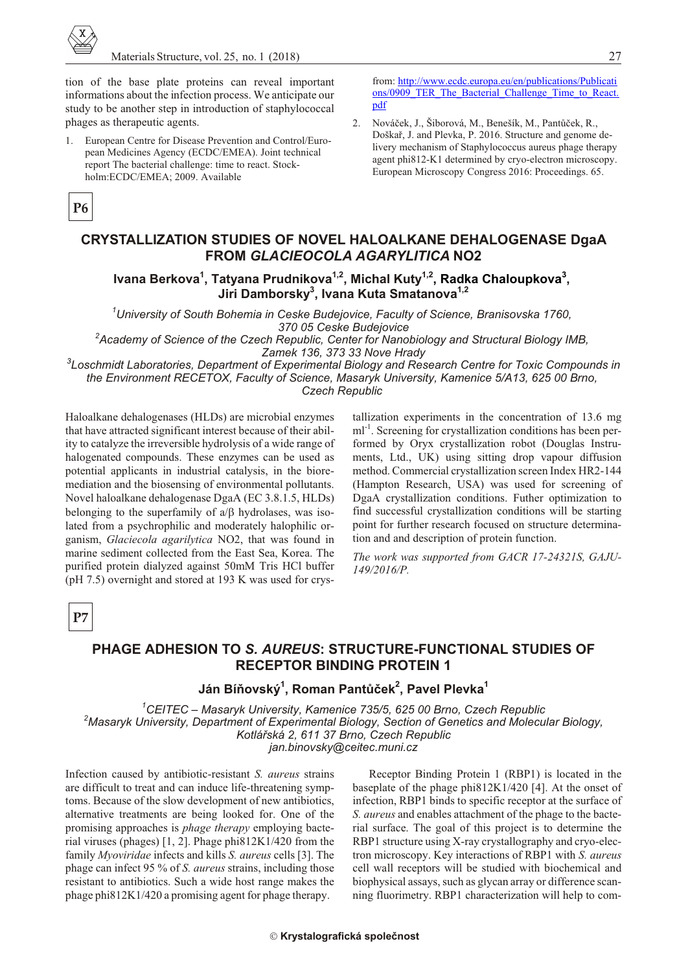tion of the base plate proteins can reveal important informations about the infection process. We anticipate our study to be another step in introduction of staphylococcal phages as therapeutic agents.

1. European Centre for Disease Prevention and Control/European Medicines Agency (ECDC/EMEA). Joint technical report The bacterial challenge: time to react. Stockholm:ECDC/EMEA; 2009. Available

**P6** 

from: http://www.ecdc.europa.eu/en/publications/Publicati ons/0909 TER The Bacterial Challenge Time to React. pdf

Nováček, J., Šiborová, M., Benešík, M., Pantůček, R., 2. Doškař, J. and Plevka, P. 2016. Structure and genome delivery mechanism of Staphylococcus aureus phage therapy agent phi812-K1 determined by cryo-electron microscopy. European Microscopy Congress 2016: Proceedings. 65.

## **CRYSTALLIZATION STUDIES OF NOVEL HALOALKANE DEHALOGENASE DgaA** FROM GLACIEOCOLA AGARYLITICA NO2

Ivana Berkova<sup>1</sup>, Tatyana Prudnikova<sup>1,2</sup>, Michal Kuty<sup>1,2</sup>, Radka Chaloupkova<sup>3</sup>,<br>Jiri Damborsky<sup>3</sup>, Ivana Kuta Smatanova<sup>1,2</sup>

<sup>1</sup>University of South Bohemia in Ceske Budejovice, Faculty of Science, Branisovska 1760, 370 05 Ceske Budejovice

<sup>2</sup>Academy of Science of the Czech Republic, Center for Nanobiology and Structural Biology IMB, Zamek 136, 373 33 Nove Hrady

<sup>3</sup>Loschmidt Laboratories, Department of Experimental Biology and Research Centre for Toxic Compounds in the Environment RECETOX, Faculty of Science, Masaryk University, Kamenice 5/A13, 625 00 Brno, **Czech Republic** 

Haloalkane dehalogenases (HLDs) are microbial enzymes that have attracted significant interest because of their ability to catalyze the irreversible hydrolysis of a wide range of halogenated compounds. These enzymes can be used as potential applicants in industrial catalysis, in the bioremediation and the biosensing of environmental pollutants. Novel haloalkane dehalogenase DgaA (EC 3.8.1.5, HLDs) belonging to the superfamily of a hydrolases, was isolated from a psychrophilic and moderately halophilic organism, Glaciecola agarilytica NO2, that was found in marine sediment collected from the East Sea, Korea. The purified protein dialyzed against 50mM Tris HCl buffer (pH 7.5) overnight and stored at 193 K was used for crys-

tallization experiments in the concentration of 13.6 mg ml<sup>-1</sup>. Screening for crystallization conditions has been performed by Oryx crystallization robot (Douglas Instruments, Ltd., UK) using sitting drop vapour diffusion method. Commercial crystallization screen Index HR2-144 (Hampton Research, USA) was used for screening of DgaA crystallization conditions. Futher optimization to find successful crystallization conditions will be starting point for further research focused on structure determination and and description of protein function.

The work was supported from GACR 17-24321S, GAJU-149/2016/P.

 $P7$ 

## PHAGE ADHESION TO S. AUREUS: STRUCTURE-FUNCTIONAL STUDIES OF **RECEPTOR BINDING PROTEIN 1**

#### Ján Bíňovský<sup>1</sup>, Roman Pantůček<sup>2</sup>, Pavel Plevka<sup>1</sup>

<sup>1</sup>CEITEC – Masaryk University, Kamenice 735/5, 625 00 Brno, Czech Republic <sup>2</sup>Masaryk University, Department of Experimental Biology, Section of Genetics and Molecular Biology, Kotlářská 2, 611 37 Brno, Czech Republic jan.binovsky@ceitec.muni.cz

Infection caused by antibiotic-resistant S. aureus strains are difficult to treat and can induce life-threatening symptoms. Because of the slow development of new antibiotics, alternative treatments are being looked for. One of the promising approaches is *phage therapy* employing bacterial viruses (phages)  $[1, 2]$ . Phage phi $812K1/420$  from the family *Myoviridae* infects and kills *S. aureus* cells [3]. The phage can infect 95 % of S. *aureus* strains, including those resistant to antibiotics. Such a wide host range makes the phage phi812K1/420 a promising agent for phage therapy.

Receptor Binding Protein 1 (RBP1) is located in the baseplate of the phage phi812K1/420 [4]. At the onset of infection, RBP1 binds to specific receptor at the surface of S. aureus and enables attachment of the phage to the bacterial surface. The goal of this project is to determine the RBP1 structure using X-ray crystallography and cryo-electron microscopy. Key interactions of RBP1 with S. aureus cell wall receptors will be studied with biochemical and biophysical assays, such as glycan array or difference scanning fluorimetry. RBP1 characterization will help to com-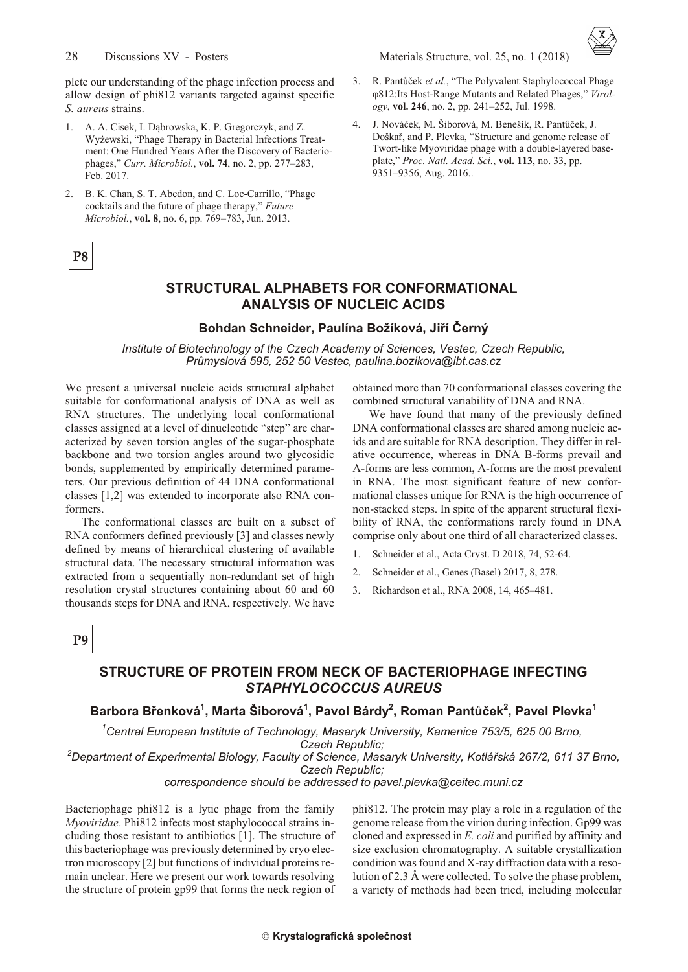

plete our understanding of the phage infection process and allow design of phi812 variants targeted against specific S. aureus strains.

- A. A. Cisek, I. Dąbrowska, K. P. Gregorczyk, and Z.  $\mathbf{1}$ Wyżewski, "Phage Therapy in Bacterial Infections Treatment: One Hundred Years After the Discovery of Bacteriophages," Curr. Microbiol., vol. 74, no. 2, pp. 277-283, Feb. 2017.
- 2. B. K. Chan, S. T. Abedon, and C. Loc-Carrillo, "Phage cocktails and the future of phage therapy," Future Microbiol., vol. 8, no. 6, pp. 769-783, Jun. 2013.

P<sub>8</sub>

- 3. R. Pantůček et al., "The Polyvalent Staphylococcal Phage 812: Its Host-Range Mutants and Related Phages," Virology, vol. 246, no. 2, pp. 241-252, Jul. 1998.
- 4. J. Nováček, M. Šiborová, M. Benešík, R. Pantůček, J. Doškař, and P. Plevka, "Structure and genome release of Twort-like Myoviridae phage with a double-layered baseplate," Proc. Natl. Acad. Sci., vol. 113, no. 33, pp. 9351-9356, Aug. 2016..

#### STRUCTURAL ALPHABETS FOR CONFORMATIONAL **ANALYSIS OF NUCLEIC ACIDS**

#### Bohdan Schneider, Paulína Božíková, Jiří Černý

Institute of Biotechnology of the Czech Academy of Sciences, Vestec, Czech Republic, Průmyslová 595, 252 50 Vestec, paulina.bozikova@ibt.cas.cz

We present a universal nucleic acids structural alphabet suitable for conformational analysis of DNA as well as RNA structures. The underlying local conformational classes assigned at a level of dinucleotide "step" are characterized by seven torsion angles of the sugar-phosphate backbone and two torsion angles around two glycosidic bonds, supplemented by empirically determined parameters. Our previous definition of 44 DNA conformational classes [1,2] was extended to incorporate also RNA conformers

The conformational classes are built on a subset of RNA conformers defined previously [3] and classes newly defined by means of hierarchical clustering of available structural data. The necessary structural information was extracted from a sequentially non-redundant set of high resolution crystal structures containing about 60 and 60 thousands steps for DNA and RNA, respectively. We have

obtained more than 70 conformational classes covering the combined structural variability of DNA and RNA.

We have found that many of the previously defined DNA conformational classes are shared among nucleic acids and are suitable for RNA description. They differ in relative occurrence, whereas in DNA B-forms prevail and A-forms are less common, A-forms are the most prevalent in RNA. The most significant feature of new conformational classes unique for RNA is the high occurrence of non-stacked steps. In spite of the apparent structural flexibility of RNA, the conformations rarely found in DNA comprise only about one third of all characterized classes.

- Schneider et al., Acta Cryst. D 2018, 74, 52-64.  $1<sub>1</sub>$
- $2.$ Schneider et al., Genes (Basel) 2017, 8, 278.
- $3.$ Richardson et al., RNA 2008, 14, 465-481.

P<sub>9</sub>

#### STRUCTURE OF PROTEIN FROM NECK OF BACTERIOPHAGE INFECTING **STAPHYLOCOCCUS AUREUS**

## Barbora Břenková<sup>1</sup>, Marta Šiborová<sup>1</sup>, Pavol Bárdy<sup>2</sup>, Roman Pantůček<sup>2</sup>, Pavel Plevka<sup>1</sup>

<sup>1</sup>Central European Institute of Technology, Masaryk University, Kamenice 753/5, 625 00 Brno,

Czech Republic;

<sup>2</sup>Department of Experimental Biology, Faculty of Science, Masaryk University, Kotlářská 267/2, 611 37 Brno, Czech Republic;

#### correspondence should be addressed to pavel.plevka@ceitec.muni.cz

Bacteriophage phi812 is a lytic phage from the family Myoviridae. Phi812 infects most staphylococcal strains including those resistant to antibiotics [1]. The structure of this bacteriophage was previously determined by cryo electron microscopy [2] but functions of individual proteins remain unclear. Here we present our work towards resolving the structure of protein gp99 that forms the neck region of

phi812. The protein may play a role in a regulation of the genome release from the virion during infection. Gp99 was cloned and expressed in E. coli and purified by affinity and size exclusion chromatography. A suitable crystallization condition was found and X-ray diffraction data with a resolution of 2.3 Å were collected. To solve the phase problem, a variety of methods had been tried, including molecular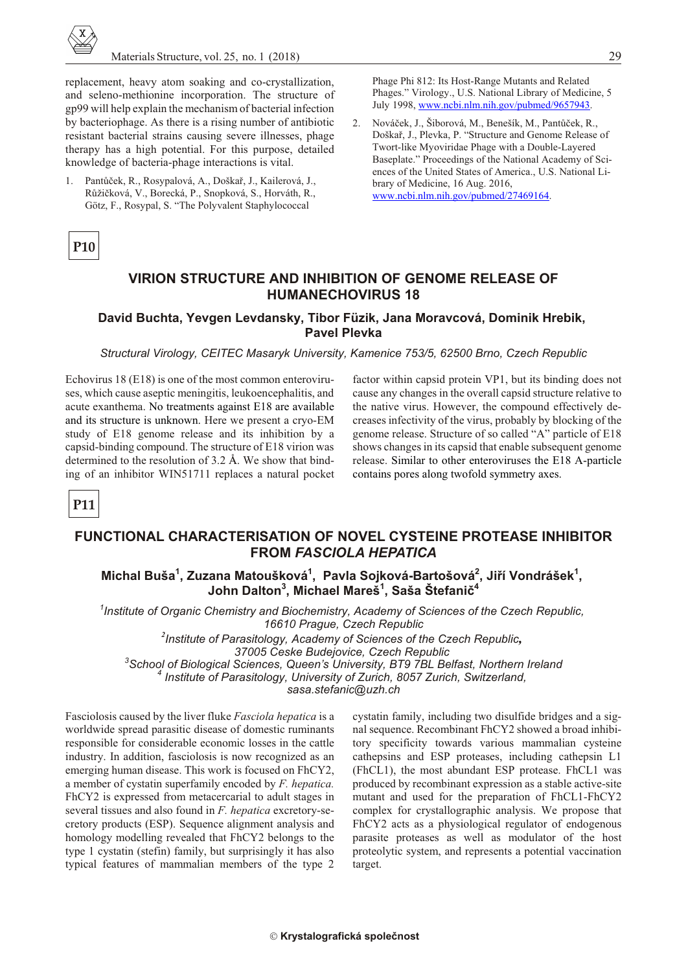replacement, heavy atom soaking and co-crystallization, and seleno-methionine incorporation. The structure of gp99 will help explain the mechanism of bacterial infection by bacteriophage. As there is a rising number of antibiotic resistant bacterial strains causing severe illnesses, phage therapy has a high potential. For this purpose, detailed knowledge of bacteria-phage interactions is vital.

1. Pantůček, R., Rosypalová, A., Doškař, J., Kailerová, J., Rùžièková, V., Borecká, P., Snopková, S., Horváth, R., Götz, F., Rosypal, S. "The Polyvalent Staphylococcal

**P10**

Phage Phi 812: Its Host-Range Mutants and Related Phages." Virology., U.S. National Library of Medicine, 5 July 1998, [www.ncbi.nlm.nih.gov/pubmed/9657943](http://www.ncbi.nlm.nih.gov/pubmed/9657943).

2. Nováèek, J., Šiborová, M., Benešík, M., Pantùèek, R., Doškař, J., Plevka, P. "Structure and Genome Release of Twort-like Myoviridae Phage with a Double-Layered Baseplate." Proceedings of the National Academy of Sciences of the United States of America., U.S. National Library of Medicine, 16 Aug. 2016, [www.ncbi.nlm.nih.gov/pubmed/27469164](http://www.ncbi.nlm.nih.gov/pubmed/27469164).

## **VIRION STRUCTURE AND INHIBITION OF GENOME RELEASE OF HUMANECHOVIRUS 18**

#### **Da vid Buchta, Yevgen Levdansky, Tibor Füzik, Jana Moravcová, Dominik Hrebik, Pavel Plevka**

Structural Virology, CEITEC Masaryk University, Kamenice 753/5, 62500 Brno, Czech Republic

Echovirus  $18$  (E18) is one of the most common enteroviruses, which cause aseptic meningitis, leukoencephalitis, and acute exanthema. No treatments against E18 are available and its structure is unknown. Here we present a cryo-EM study of E18 genome release and its inhibition by a capsid-binding compound. The structure of E18 virion was determined to the resolution of  $3.2 \text{ Å}$ . We show that binding of an inhibitor WIN51711 replaces a natural pocket

factor within capsid protein VP1, but its binding does not cause any changes in the overall capsid structure relative to the native virus. However, the compound effectively decreases infectivity of the virus, probably by blocking of the genome release. Structure of so called "A" particle of E18 shows changes in its capsid that enable subsequent genome release. Similar to other enteroviruses the E18 A-particle contains pores along twofold symmetry axes.

**P11**

#### **FUNCTIONAL CHARACTERISATION OF NOVEL CYSTEINE PROTEASE INHIBITOR FROM** *FASCIOLA HEPATICA*

#### **Michal Buša<sup>1</sup> , Zuzana Matoušková<sup>1</sup> , Pavla Sojková-Bartošová<sup>2</sup> , Jiøí Vondrášek<sup>1</sup> , John Dal ton<sup>3</sup> , Mi chael Mareš<sup>1</sup> , Saša Štefaniè<sup>4</sup>**

<sup>1</sup> Institute of Organic Chemistry and Biochemistry, Academy of Sciences of the Czech Republic, **16610 Prague, Czech Republic** <sup>2</sup> Institute of Parasitology, Academy of Sciences of the Czech Republic, 37005 Ceske Budejovice, Czech Republic <sup>3</sup> School of Biological Sciences, Queen's University, BT9 7BL Belfast, Northern Ireland <sup>4</sup> Institute of Parasitology, University of Zurich, 8057 Zurich, Switzerland, *sasa.stefanic@uzh.ch*

Fasciolosis caused by the liver fluke *Fasciola hepatica* is a worldwide spread parasitic disease of domestic ruminants responsible for considerable economic losses in the cattle industry. In addition, fasciolosis is now recognized as an emerging human disease. This work is focused on FhCY2, a member of cystatin superfamily encoded by *F. hepatica.* FhCY2 is expressed from metacercarial to adult stages in several tissues and also found in *F. hepatica* excretory-secretory products (ESP). Sequence alignment analysis and homology modelling revealed that FhCY2 belongs to the type 1 cystatin (stefin) family, but surprisingly it has also typical features of mammalian members of the type 2

cystatin family, including two disulfide bridges and a signal sequence. Recombinant FhCY2 showed a broad inhibitory specificity towards various mammalian cysteine cathepsins and ESP proteases, including cathepsin L1 (FhCL1), the most abundant ESP protease. FhCL1 was produced by recombinant expression as a stable active-site mutant and used for the preparation of FhCL1-FhCY2 complex for crystallographic analysis. We propose that FhCY2 acts as a physiological regulator of endogenous parasite proteases as well as modulator of the host proteolytic system, and represents a potential vaccination target.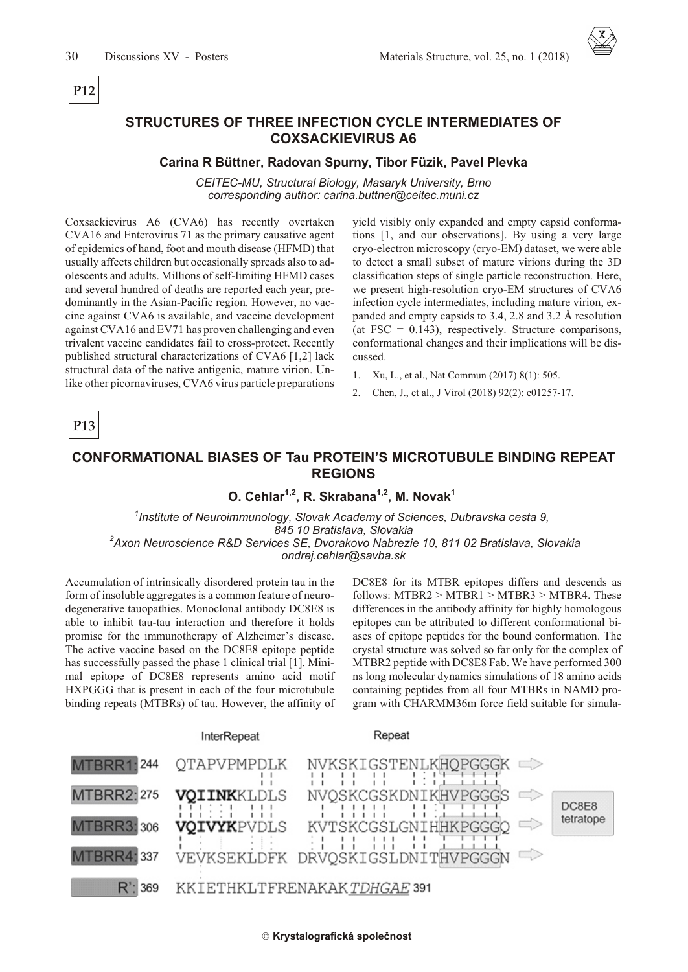#### **STRUCTURES OF THREE INFECTION CYCLE INTERMEDIATES OF COXSACKIEVIRUS A6**

#### **Ca rina R Büttner, Radovan Spurny, Tibor Füzik, Pavel Plevka**

**CEITEC-MU, Structural Biology, Masaryk University, Brno** *cor re spond ing au thor: ca rina.buttner@ceitec.muni.cz*

Coxsackievirus A6 (CVA6) has recently overtaken CVA16 and Enterovirus 71 as the primary causative agent of epidemics of hand, foot and mouth disease (HFMD) that usually affects children but occasionally spreads also to adolescents and adults. Millions of self-limiting HFMD cases and several hundred of deaths are reported each year, predominantly in the Asian-Pacific region. However, no vaccine against CVA6 is available, and vaccine development against CVA16 and EV71 has proven challenging and even trivalent vaccine candidates fail to cross-protect. Recently published structural characterizations of CVA6  $[1,2]$  lack structural data of the native antigenic, mature virion. Unlike other picornaviruses, CVA6 virus particle preparations

yield visibly only expanded and empty capsid conformations [1, and our observations]. By using a very large cryo-electron microscopy (cryo-EM) dataset, we were able to detect a small subset of mature virions during the 3D classification steps of single particle reconstruction. Here, we present high-resolution cryo-EM structures of CVA6 in fection cycle in termediates, including mature virion, expanded and empty capsids to 3.4, 2.8 and 3.2  $\AA$  resolution (at  $FSC = 0.143$ ), respectively. Structure comparisons, conformational changes and their implications will be discussed.

- 1. Xu, L., et al., Nat Commun (2017) 8(1): 505.
- 2. Chen, J., et al., J Virol (2018) 92(2): e01257-17.

**P13**

**P12**

#### **CONFORMATIONAL BIASES OF Tau PROTEIN'S MICROTUBULE BINDING REPEAT REGIONS**

## **O. Cehlar1,2, R. Skrabana1,2, M. Novak<sup>1</sup>**

<sup>1</sup> Institute of Neuroimmunology, Slovak Academy of Sciences, Dubravska cesta 9, *845 10 Bratislava, Slovakia* <sup>2</sup> Axon Neuroscience R&D Services SE, Dvorakovo Nabrezie 10, 811 02 Bratislava, Slovakia *ondrej.cehlar@savba.sk*

Accumulation of intrinsically disordered protein tau in the form of insoluble aggregates is a common feature of neurodegenerative tauopathies. Monoclonal antibody DC8E8 is able to inhibit tau-tau interaction and therefore it holds promise for the immunotherapy of Alzheimer's disease. The active vaccine based on the DC8E8 epitope peptide has successfully passed the phase 1 clinical trial [1]. Minimal epitope of DC8E8 represents amino acid motif HXPGGG that is present in each of the four microtubule binding repeats (MTBRs) of tau. However, the affinity of DC8E8 for its MTBR epitopes differs and descends as follows:  $MTBR2 > MTBR1 > MTBR3 > MTBR4$ . These differences in the antibody affinity for highly homologous epitopes can be attributed to different conformational biases of epitope peptides for the bound conformation. The crys tal structure was solved so far only for the complex of MTBR2 peptide with DC8E8 Fab. We have performed 300 ns long molecular dynamics simulations of 18 amino acids containing peptides from all four MTBRs in NAMD program with CHARMM36m force field suitable for simula-



**Krystalografická spoleènost**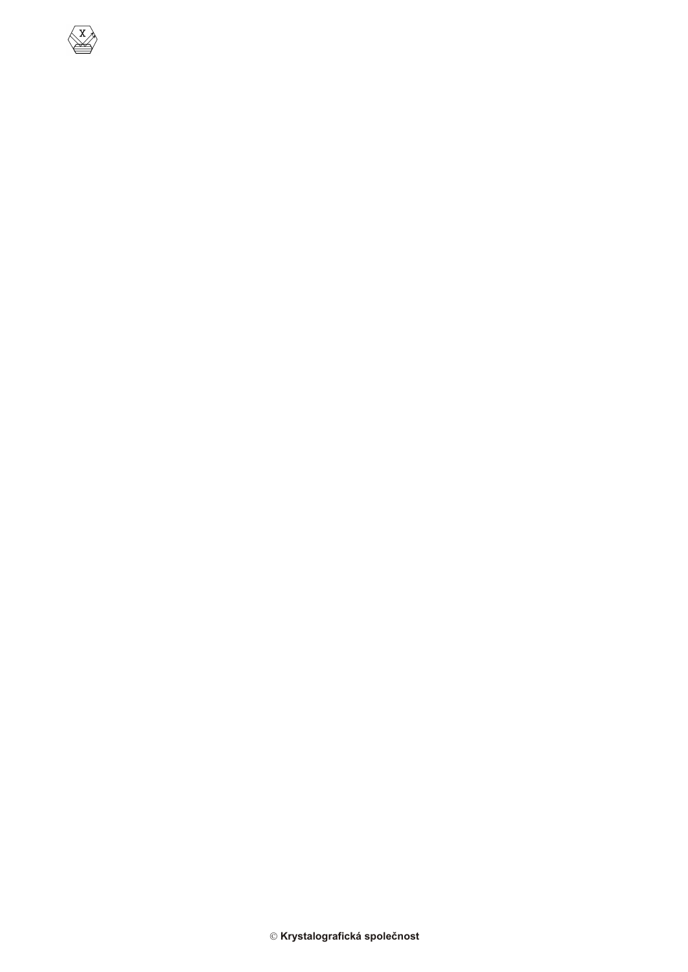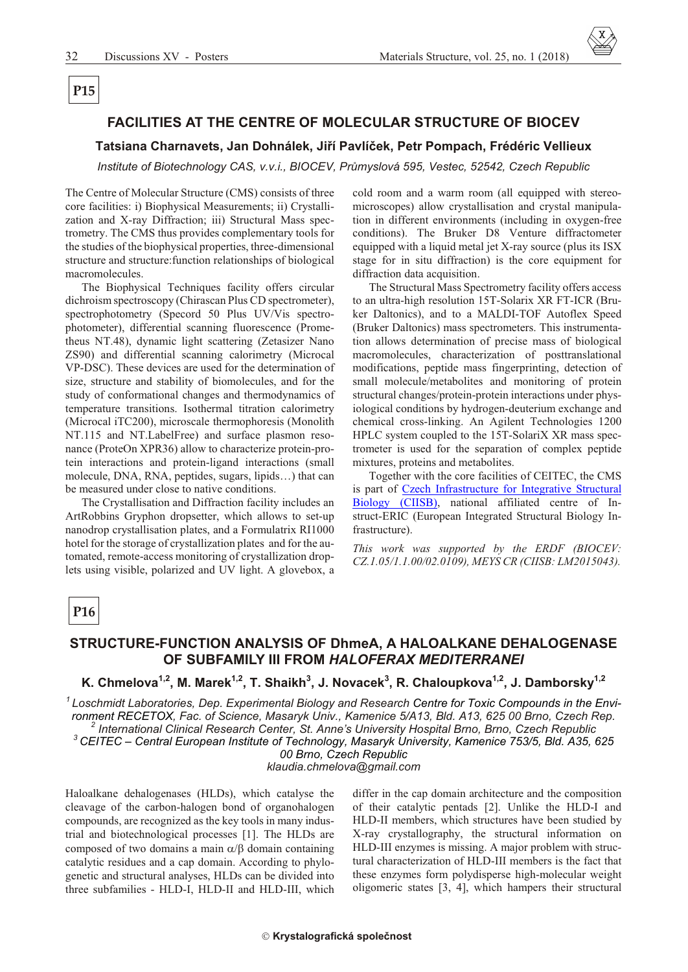# P<sub>15</sub>

#### **FACILITIES AT THE CENTRE OF MOLECULAR STRUCTURE OF BIOCEV**

#### Tatsiana Charnavets, Jan Dohnálek, Jiří Pavlíček, Petr Pompach, Frédéric Vellieux

Institute of Biotechnology CAS, v.v.i., BIOCEV, Průmyslová 595, Vestec, 52542, Czech Republic

The Centre of Molecular Structure (CMS) consists of three core facilities: i) Biophysical Measurements; ii) Crystallization and X-ray Diffraction; iii) Structural Mass spectrometry. The CMS thus provides complementary tools for the studies of the biophysical properties, three-dimensional structure and structure: function relationships of biological macromolecules.

The Biophysical Techniques facility offers circular dichroism spectroscopy (Chirascan Plus CD spectrometer), spectrophotometry (Specord 50 Plus UV/Vis spectrophotometer), differential scanning fluorescence (Prometheus NT.48), dynamic light scattering (Zetasizer Nano ZS90) and differential scanning calorimetry (Microcal VP-DSC). These devices are used for the determination of size, structure and stability of biomolecules, and for the study of conformational changes and thermodynamics of temperature transitions. Isothermal titration calorimetry (Microcal iTC200), microscale thermophoresis (Monolith NT.115 and NT.LabelFree) and surface plasmon resonance (ProteOn XPR36) allow to characterize protein-protein interactions and protein-ligand interactions (small molecule, DNA, RNA, peptides, sugars, lipids...) that can be measured under close to native conditions.

The Crystallisation and Diffraction facility includes an ArtRobbins Gryphon dropsetter, which allows to set-up nanodrop crystallisation plates, and a Formulatrix RI1000 hotel for the storage of crystallization plates and for the automated, remote-access monitoring of crystallization droplets using visible, polarized and UV light. A glovebox, a cold room and a warm room (all equipped with stereomicroscopes) allow crystallisation and crystal manipulation in different environments (including in oxygen-free conditions). The Bruker D8 Venture diffractometer equipped with a liquid metal jet X-ray source (plus its ISX stage for in situ diffraction) is the core equipment for diffraction data acquisition.

The Structural Mass Spectrometry facility offers access to an ultra-high resolution 15T-Solarix XR FT-ICR (Bruker Daltonics), and to a MALDI-TOF Autoflex Speed (Bruker Daltonics) mass spectrometers. This instrumentation allows determination of precise mass of biological macromolecules, characterization of posttranslational modifications, peptide mass fingerprinting, detection of small molecule/metabolites and monitoring of protein structural changes/protein-protein interactions under physiological conditions by hydrogen-deuterium exchange and chemical cross-linking. An Agilent Technologies 1200 HPLC system coupled to the 15T-SolariX XR mass spectrometer is used for the separation of complex peptide mixtures, proteins and metabolites.

Together with the core facilities of CEITEC, the CMS is part of Czech Infrastructure for Integrative Structural Biology (CIISB), national affiliated centre of Instruct-ERIC (European Integrated Structural Biology Infrastructure).

This work was supported by the ERDF (BIOCEV: CZ.1.05/1.1.00/02.0109), MEYS CR (CIISB: LM2015043).

# P<sub>16</sub>

#### STRUCTURE-FUNCTION ANALYSIS OF DhmeA, A HALOALKANE DEHALOGENASE OF SUBFAMILY III FROM HALOFERAX MEDITERRANEI

K. Chmelova<sup>1,2</sup>, M. Marek<sup>1,2</sup>, T. Shaikh<sup>3</sup>, J. Novacek<sup>3</sup>, R. Chaloupkova<sup>1,2</sup>, J. Damborsky<sup>1,2</sup>

 $^{\text{\tiny{\textsf{1}}}}$  Loschmidt Laboratories, Dep. Experimental Biology and Research Centre for Toxic Compounds in the Environment RECETOX, Fac. of Science, Masaryk Univ., Kamenice 5/A13, Bld. A13, 625 00 Brno, Czech Rep. <sup>2</sup> International Clinical Research Center, St. Anne's University Hospital Brno, Brno, Czech Republic  $3$  CEITEC - Central European Institute of Technology, Masaryk University, Kamenice 753/5, Bld. A35, 625 00 Brno, Czech Republic klaudia.chmelova@gmail.com

Haloalkane dehalogenases (HLDs), which catalyse the cleavage of the carbon-halogen bond of organohalogen compounds, are recognized as the key tools in many industrial and biotechnological processes [1]. The HLDs are composed of two domains a main domain containing catalytic residues and a cap domain. According to phylogenetic and structural analyses, HLDs can be divided into three subfamilies - HLD-I, HLD-II and HLD-III, which differ in the cap domain architecture and the composition of their catalytic pentads [2]. Unlike the HLD-I and HLD-II members, which structures have been studied by X-ray crystallography, the structural information on HLD-III enzymes is missing. A major problem with structural characterization of HLD-III members is the fact that these enzymes form polydisperse high-molecular weight oligomeric states [3, 4], which hampers their structural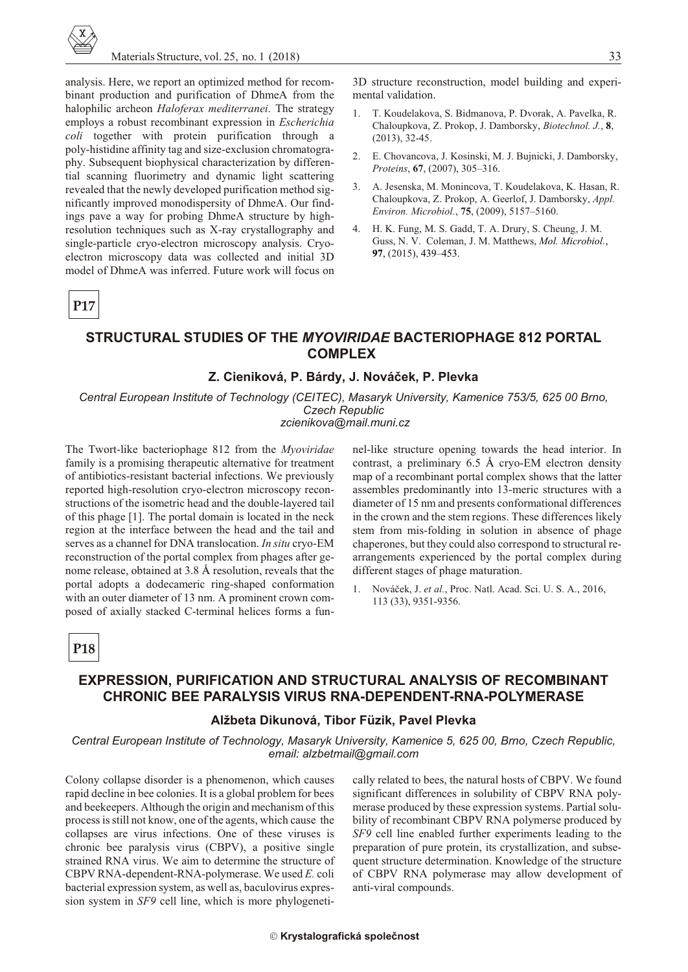

analysis. Here, we report an optimized method for recombinant production and purification of DhmeA from the halophilic archeon *Haloferax mediterranei*. The strategy employs a robust recombinant expression in *Escherichia coli* together with protein purification through a poly-histidine affinity tag and size-exclusion chromatography. Subsequent biophysical characterization by differential scanning fluorimetry and dynamic light scattering revealed that the newly developed purification method significantly improved monodispersity of DhmeA. Our findings pave a way for probing DhmeA structure by highresolution techniques such as X-ray crystallography and single-particle cryo-electron microscopy analysis. Cryoelectron microscopy data was collected and initial 3D model of DhmeA was inferred. Future work will focus on

**P17**

#### 3D structure reconstruction, model building and experimental validation.

- 1. T. Koudelakova, S. Bidmanova, P. Dvorak, A. Pavelka, R. Chaloupkova, Z. Prokop, J. Damborsky, *Biotechnol. J.*, **8**, (2013), 32-45.
- 2. E. Chovancova, J. Kosinski, M. J. Bujnicki, J. Damborsky, *Pro teins*, **67**, (2007), 305–316.
- 3. A. Jesenska, M. Monincova, T. Koudelakova, K. Hasan, R. Chaloupkova, Z. Prokop, A. Geerlof, J. Damborsky, *Appl. En vi ron. Microbiol.*, **75**, (2009), 5157–5160.
- 4. H. K. Fung, M. S. Gadd, T. A. Drury, S. Cheung, J. M. Guss, N. V. Coleman, J. M. Matthews, *Mol. Microbiol.*, **97**, (2015), 439–453.

#### **STRUCTURAL STUDIES OF THE** *MYOVIRIDAE* **BACTERIOPHAGE 812 PORTAL COMPLEX**

#### **Z. Cieniková, P. Bárdy, J. Nováèek, P. Plevka**

*Central European Institute of Technology (CEITEC), Masaryk University, Kamenice 753/5, 625 00 Brno,* **Czech Republic** 

*zcienikova@mail.muni.cz*

The Twort-like bacteriophage 812 from the *Myoviridae* family is a promising there a per alternative for treatment of antibiotics-resistant bacterial infections. We previously reported high-resolution cryo-electron microscopy reconstructions of the isometric head and the double-layered tail of this phage  $[1]$ . The portal domain is located in the neck region at the interface between the head and the tail and serves as a channel for DNA translocation. *In situ* cryo-EM reconstruction of the portal complex from phages after genome release, obtained at  $3.8 \text{ Å}$  resolution, reveals that the portal adopts a dodecameric ring-shaped conformation with an outer diameter of 13 nm. A prominent crown composed of axially stacked C-terminal helices forms a fun-

nel-like structure opening towards the head interior. In contrast, a preliminary  $6.5 \text{ Å}$  cryo-EM electron density map of a recombinant portal complex shows that the latter assembles predominantly into 13-meric structures with a diameter of 15 nm and presents conformational differences in the crown and the stem regions. These differences likely stem from mis-folding in solution in absence of phage chaperones, but they could also correspond to structural rearrangements experienced by the portal complex during different stages of phage maturation.

1. Nováèek, J. *et al.*, Proc. Natl. Acad. Sci. U. S. A., 2016, 113 (33), 9351-9356.

**P18**

#### **EXPRESSION, PURIFICATION AND STRUCTURAL ANALYSIS OF RECOMBINANT CHRONIC BEE PARALYSIS VIRUS RNA-DEPENDENT-RNA-POLYMERASE**

#### **Alžbeta Dikunová, Tibor Füzik, Pavel Plevka**

*Central European Institute of Technology, Masaryk University, Kamenice 5, 625 00, Brno, Czech Republic, email: alzbetmail@gmail.com*

Colony collapse disorder is a phenomenon, which causes rapid decline in bee colonies. It is a global problem for bees and beekeepers. Although the origin and mechanism of this process is still not know, one of the agents, which cause the collapses are virus infections. One of these viruses is chronic bee paralysis virus (CBPV), a positive single strained RNA virus. We aim to determine the structure of CBPV RNA-dependent-RNA-polymerase. We used *E*. coli bacterial expression system, as well as, baculovirus expression system in *SF9* cell line, which is more phylogenetically related to bees, the natural hosts of CBPV. We found significant differences in solubility of CBPV RNA polymerase produced by these expression systems. Partial solubility of recombinant CBPV RNA polymerse produced by *SF9* cell line enabled further experiments leading to the preparation of pure protein, its crystallization, and subsequent structure determination. Knowledge of the structure of CBPV RNA polymerase may allow development of anti-viral compounds.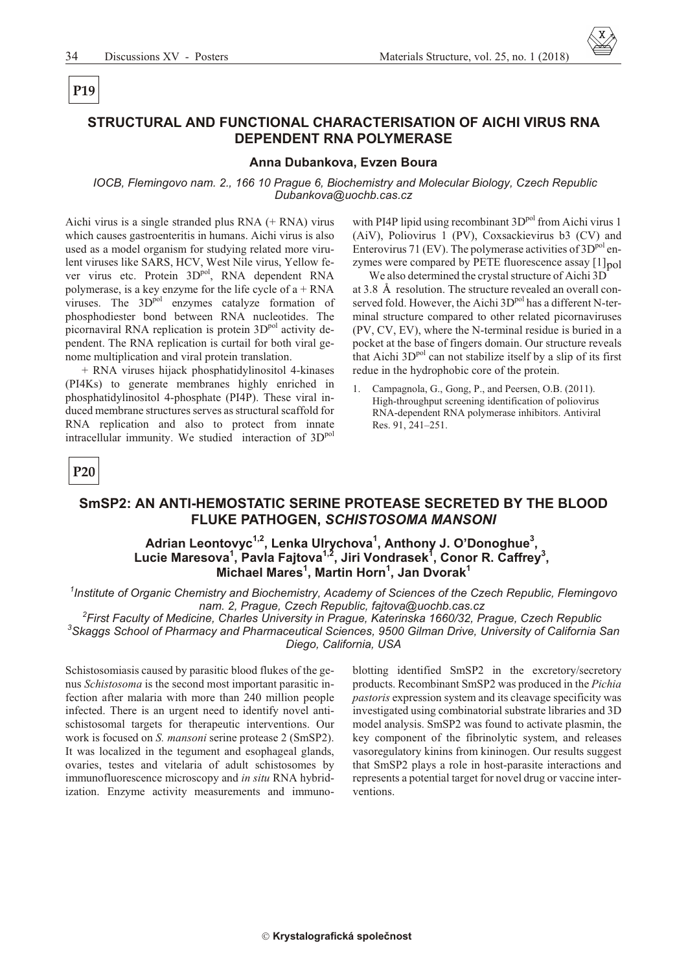# P<sub>19</sub>

## STRUCTURAL AND FUNCTIONAL CHARACTERISATION OF AICHI VIRUS RNA **DEPENDENT RNA POLYMERASE**

#### Anna Dubankova, Evzen Boura

IOCB, Flemingovo nam. 2., 166 10 Prague 6, Biochemistry and Molecular Biology, Czech Republic Dubankova@uochb.cas.cz

Aichi virus is a single stranded plus RNA (+ RNA) virus which causes gastroenteritis in humans. Aichi virus is also used as a model organism for studying related more virulent viruses like SARS, HCV, West Nile virus, Yellow fever virus etc. Protein 3D<sup>pol</sup>, RNA dependent RNA polymerase, is a key enzyme for the life cycle of  $a + RNA$ viruses. The 3D<sup>pol</sup> enzymes catalyze formation of phosphodiester bond between RNA nucleotides. The picornaviral RNA replication is protein 3D<sup>pol</sup> activity dependent. The RNA replication is curtail for both viral genome multiplication and viral protein translation.

+ RNA viruses hijack phosphatidylinositol 4-kinases (PI4Ks) to generate membranes highly enriched in phosphatidylinositol 4-phosphate (PI4P). These viral induced membrane structures serves as structural scaffold for RNA replication and also to protect from innate intracellular immunity. We studied interaction of 3D<sup>pol</sup> with PI4P lipid using recombinant 3D<sup>pol</sup> from Aichi virus 1 (AiV), Poliovirus 1 (PV), Coxsackievirus b3 (CV) and Enterovirus 71 (EV). The polymerase activities of  $3D^{pol}$  enzymes were compared by PETE fluorescence assay [1]<sub>pol</sub>

We also determined the crystal structure of Aichi 3D at 3.8 Å resolution. The structure revealed an overall conserved fold. However, the Aichi 3D<sup>pol</sup> has a different N-terminal structure compared to other related picornaviruses (PV, CV, EV), where the N-terminal residue is buried in a pocket at the base of fingers domain. Our structure reveals that Aichi 3D<sup>pol</sup> can not stabilize itself by a slip of its first redue in the hydrophobic core of the protein.

 $\mathbf{1}$ Campagnola, G., Gong, P., and Peersen, O.B. (2011). High-throughput screening identification of poliovirus RNA-dependent RNA polymerase inhibitors. Antiviral Res. 91, 241-251.

P<sub>20</sub>

#### SmSP2: AN ANTI-HEMOSTATIC SERINE PROTEASE SECRETED BY THE BLOOD FLUKE PATHOGEN, SCHISTOSOMA MANSONI

#### Adrian Leontovyc<sup>1,2</sup>, Lenka Ulrychova<sup>1</sup>, Anthony J. O'Donoghue<sup>3</sup>, Lucie Maresova<sup>1</sup>, Pavla Fajtova<sup>1,2</sup>, Jiri Vondrasek<sup>1</sup>, Conor R. Caffrey<sup>3</sup>, Michael Mares<sup>1</sup>, Martin Horn<sup>1</sup>, Jan Dvorak<sup>1</sup>

Institute of Organic Chemistry and Biochemistry, Academy of Sciences of the Czech Republic, Flemingovo<sup>1</sup> nam. 2, Prague, Czech Republic, fajtova@uochb.cas.cz

<sup>2</sup>First Faculty of Medicine, Charles University in Prague, Katerinska 1660/32, Prague, Czech Republic <sup>3</sup>Skaggs School of Pharmacy and Pharmaceutical Sciences, 9500 Gilman Drive, University of California San Diego, California, USA

Schistosomiasis caused by parasitic blood flukes of the genus Schistosoma is the second most important parasitic infection after malaria with more than 240 million people infected. There is an urgent need to identify novel antischistosomal targets for therapeutic interventions. Our work is focused on S. mansoni serine protease 2 (SmSP2). It was localized in the tegument and esophageal glands, ovaries, testes and vitelaria of adult schistosomes by immunofluorescence microscopy and in situ RNA hybridization. Enzyme activity measurements and immuno-

blotting identified SmSP2 in the excretory/secretory products. Recombinant SmSP2 was produced in the Pichia *pastoris* expression system and its cleavage specificity was investigated using combinatorial substrate libraries and 3D model analysis. SmSP2 was found to activate plasmin, the key component of the fibrinolytic system, and releases vasoregulatory kinins from kininogen. Our results suggest that SmSP2 plays a role in host-parasite interactions and represents a potential target for novel drug or vaccine interventions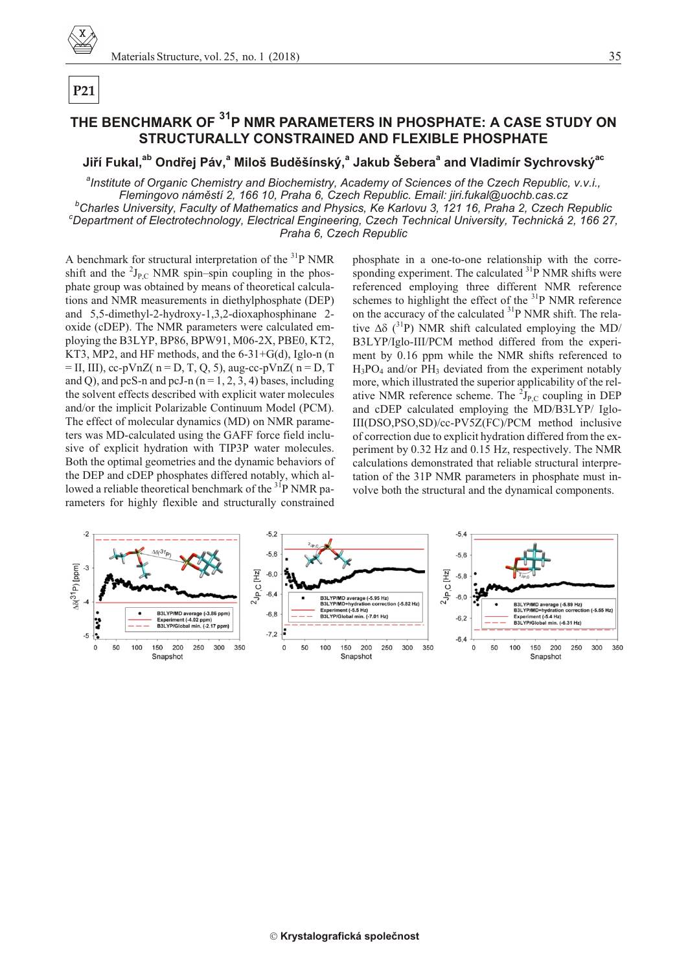# P<sub>21</sub>

# THE BENCHMARK OF <sup>31</sup>P NMR PARAMETERS IN PHOSPHATE: A CASE STUDY ON STRUCTURALLY CONSTRAINED AND FLEXIBLE PHOSPHATE

# Jiří Fukal,<sup>ab</sup> Ondřej Páv,<sup>a</sup> Miloš Buděšínský,<sup>a</sup> Jakub Šebera<sup>a</sup> and Vladimír Sychrovský<sup>ac</sup>

<sup>a</sup>Institute of Organic Chemistry and Biochemistry, Academy of Sciences of the Czech Republic, v.v.i., Flemingovo náměstí 2, 166 10, Praha 6, Czech Republic. Email: jiri.fukal@uochb.cas.cz <sup>b</sup>Charles University, Faculty of Mathematics and Physics, Ke Karlovu 3, 121 16, Praha 2, Czech Republic <sup>c</sup>Department of Electrotechnology, Electrical Engineering, Czech Technical University, Technická 2, 166 27, Praha 6, Czech Republic

A benchmark for structural interpretation of the <sup>31</sup>P NMR shift and the  ${}^{2}J_{P,C}$  NMR spin-spin coupling in the phosphate group was obtained by means of theoretical calculations and NMR measurements in diethylphosphate (DEP) and 5.5-dimethyl-2-hydroxy-1.3.2-dioxaphosphinane 2oxide (cDEP). The NMR parameters were calculated employing the B3LYP, BP86, BPW91, M06-2X, PBE0, KT2, KT3, MP2, and HF methods, and the 6-31+G(d), Iglo-n (n = II, III), cc-pVnZ( $n = D$ , T, Q, 5), aug-cc-pVnZ( $n = D$ , T and Q), and pcS-n and pcJ-n  $(n=1, 2, 3, 4)$  bases, including the solvent effects described with explicit water molecules and/or the implicit Polarizable Continuum Model (PCM). The effect of molecular dynamics (MD) on NMR parameters was MD-calculated using the GAFF force field inclusive of explicit hydration with TIP3P water molecules. Both the optimal geometries and the dynamic behaviors of the DEP and cDEP phosphates differed notably, which allowed a reliable theoretical benchmark of the <sup>31</sup>P NMR parameters for highly flexible and structurally constrained

phosphate in a one-to-one relationship with the corresponding experiment. The calculated <sup>31</sup>P NMR shifts were referenced employing three different NMR reference schemes to highlight the effect of the <sup>31</sup>P NMR reference on the accuracy of the calculated <sup>31</sup>P NMR shift. The rela- $(^{31}P)$  NMR shift calculated employing the MD/ tive B3LYP/Iglo-III/PCM method differed from the experiment by 0.16 ppm while the NMR shifts referenced to  $H_3PO_4$  and/or PH<sub>3</sub> deviated from the experiment notably more, which illustrated the superior applicability of the relative NMR reference scheme. The  ${}^{2}J_{P,C}$  coupling in DEP and cDEP calculated employing the MD/B3LYP/ Iglo-III(DSO,PSO,SD)/cc-PV5Z(FC)/PCM method inclusive of correction due to explicit hydration differed from the experiment by 0.32 Hz and 0.15 Hz, respectively. The NMR calculations demonstrated that reliable structural interpretation of the 31P NMR parameters in phosphate must involve both the structural and the dynamical components.

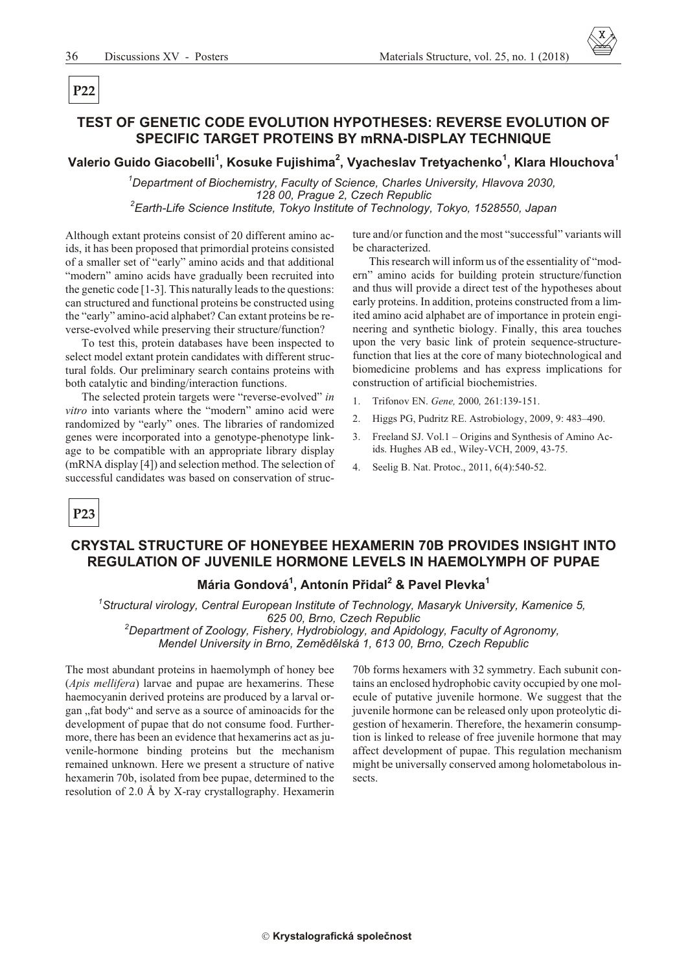## **TEST OF GENETIC CODE EVOLUTION HYPOTHESES: REVERSE EVOLUTION OF SPECIFIC TARGET PROTEINS BY mRNA-DISPLAY TECHNIQUE**

**Valerio Guido Giacobelli<sup>1</sup> , Kosuke Fujishima<sup>2</sup> , Vyacheslav Tretyachenko<sup>1</sup> , Klara Hlouchova<sup>1</sup>**

<sup>1</sup>Department of Biochemistry, Faculty of Science, Charles University, Hlavova 2030, 128 00, Prague 2, Czech Republic <sup>2</sup>*Earth-Life Science Institute, Tokyo Institute of Technology, Tokyo, 1528550, Japan* 

Although extant proteins consist of 20 different amino acids, it has been proposed that primordial proteins consisted of a smaller set of "early" amino acids and that additional "modern" amino acids have gradually been recruited into the genetic code  $[1-3]$ . This naturally leads to the questions: can structured and functional proteins be constructed using the "early" amino-acid alphabet? Can extant proteins be reverse-evolved while preserving their structure/function?

To test this, protein databases have been inspected to select model extant protein candidates with different structural folds. Our preliminary search contains proteins with both catalytic and binding/interaction functions.

The selected protein targets were "reverse-evolved" in *vitro* into variants where the "modern" amino acid were randomized by "early" ones. The libraries of randomized genes were incorporated into a genotype-phenotype linkage to be compatible with an appropriate library display  $(mRNA$  display  $[4]$ ) and selection method. The selection of success ful candidates was based on conservation of structure and/or function and the most "successful" variants will be characterized.

This research will inform us of the essentiality of "modern" amino acids for building protein structure/function and thus will provide a direct test of the hypotheses about early proteins. In addition, proteins constructed from a limited amino acid alphabet are of importance in protein engineering and synthetic biology. Finally, this area touches upon the very basic link of protein sequence-structurefunction that lies at the core of many biotechnological and biomedicine problems and has express implications for construction of artificial biochemistries.

- 1. Trifonov EN. *Gene,* 2000*,* 261:139-151.
- 2. Higgs PG, Pudritz RE. Astrobiology, 2009, 9: 483–490.
- 3. Freeland SJ. Vol.1 Origins and Synthesis of Amino Acids. Hughes AB ed., Wiley-VCH, 2009, 43-75.
- 4. Seelig B. Nat. Protoc., 2011, 6(4):540-52.

**P23**

## **CRYSTAL STRUCTURE OF HONEYBEE HEXAMERIN 70B PROVIDES INSIGHT INTO REGULATION OF JUVENILE HORMONE LEVELS IN HAEMOLYMPH OF PUPAE**

#### **Mária Gondová<sup>1</sup> , Antonín Pøidal<sup>2</sup> & Pavel Plevka<sup>1</sup>**

<sup>1</sup>*Structural virology, Central European Institute of Technology, Masaryk University, Kamenice 5,* 625 00, Brno, Czech Republic

<sup>2</sup>*Department of Zoology, Fishery, Hydrobiology, and Apidology, Faculty of Agronomy, Men del Uni ver sity in Brno, Zemìdìlská 1, 613 00, Brno, Czech Re pub lic*

The most abundant proteins in haemolymph of honey bee (*Apis mellifera*) larvae and pupae are hexamerins. These haemocyanin derived proteins are produced by a larval organ "fat body" and serve as a source of aminoacids for the development of pupae that do not consume food. Furthermore, there has been an evidence that hexamerins act as juvenile-hormone binding proteins but the mechanism remained unknown. Here we present a structure of native hexamerin 70b, isolated from bee pupae, determined to the resolution of 2.0 Å by X-ray crystallography. Hexamerin

70b forms hexamers with 32 symmetry. Each subunit contains an enclosed hydrophobic cavity occupied by one molecule of putative juvenile hormone. We suggest that the juvenile hormone can be released only upon proteolytic digestion of hexamerin. Therefore, the hexamerin consumption is linked to release of free juvenile hormone that may affect development of pupae. This regulation mechanism might be universally conserved among holometabolous insects.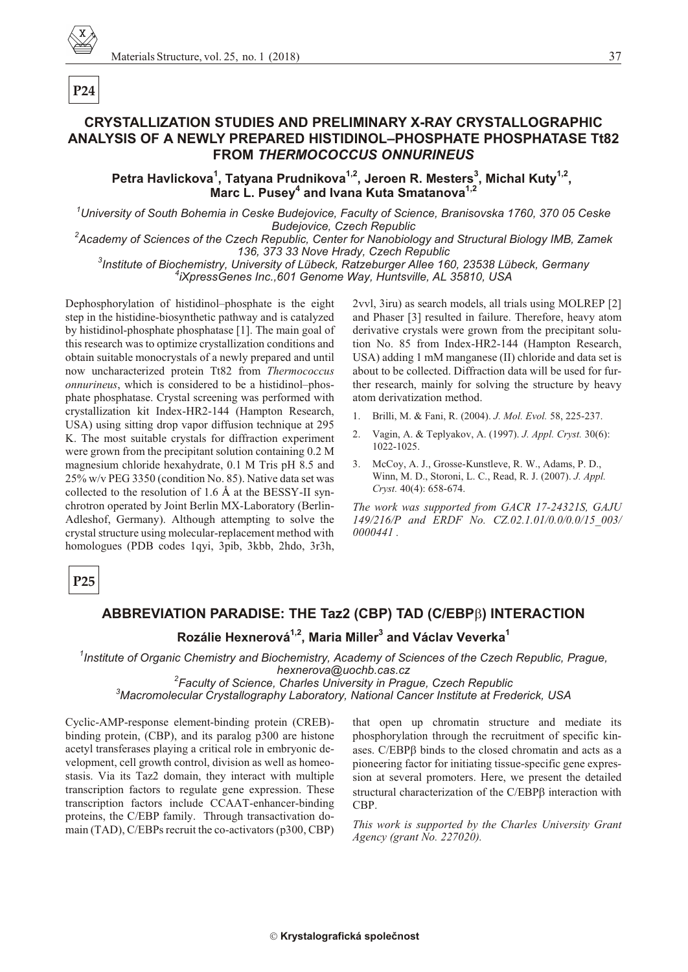

# P<sub>24</sub>

#### **CRYSTALLIZATION STUDIES AND PRELIMINARY X-RAY CRYSTALLOGRAPHIC ANALYSIS OF A NEWLY PREPARED HISTIDINOL-PHOSPHATE PHOSPHATASE Tt82 FROM THERMOCOCCUS ONNURINEUS**

Petra Havlickova<sup>1</sup>, Tatyana Prudnikova<sup>1,2</sup>, Jeroen R. Mesters<sup>3</sup>, Michal Kuty<sup>1,2</sup>,<br>Marc L. Pusey<sup>4</sup> and Ivana Kuta Smatanova<sup>1,2</sup>

<sup>1</sup>University of South Bohemia in Ceske Budeiovice. Faculty of Science, Branisovska 1760, 370 05 Ceske **Budejovice, Czech Republic** 

<sup>2</sup>Academy of Sciences of the Czech Republic, Center for Nanobiology and Structural Biology IMB, Zamek 136, 373 33 Nove Hrady, Czech Republic

<sup>3</sup>Institute of Biochemistry, University of Lübeck, Ratzeburger Allee 160, 23538 Lübeck, Germany <sup>4</sup>iXpressGenes Inc.,601 Genome Way, Huntsville, AL 35810, USA

Dephosphorylation of histidinol-phosphate is the eight step in the histidine-biosynthetic pathway and is catalyzed by histidinol-phosphate phosphatase [1]. The main goal of this research was to optimize crystallization conditions and obtain suitable monocrystals of a newly prepared and until now uncharacterized protein Tt82 from Thermococcus *onnurineus*, which is considered to be a histidinol-phosphate phosphatase. Crystal screening was performed with crystallization kit Index-HR2-144 (Hampton Research, USA) using sitting drop vapor diffusion technique at 295 K. The most suitable crystals for diffraction experiment were grown from the precipitant solution containing 0.2 M magnesium chloride hexahydrate, 0.1 M Tris pH 8.5 and 25% w/v PEG 3350 (condition No. 85). Native data set was collected to the resolution of 1.6 Å at the BESSY-II synchrotron operated by Joint Berlin MX-Laboratory (Berlin-Adleshof, Germany). Although attempting to solve the crystal structure using molecular-replacement method with homologues (PDB codes 1qyi, 3pib, 3kbb, 2hdo, 3r3h,

2vvl, 3iru) as search models, all trials using MOLREP [2] and Phaser [3] resulted in failure. Therefore, heavy atom derivative crystals were grown from the precipitant solution No. 85 from Index-HR2-144 (Hampton Research, USA) adding 1 mM manganese (II) chloride and data set is about to be collected. Diffraction data will be used for further research, mainly for solving the structure by heavy atom derivatization method.

- Brilli, M. & Fani, R. (2004). J. Mol. Evol. 58, 225-237.  $\mathbf{1}$
- $2.$ Vagin, A. & Teplyakov, A. (1997). J. Appl. Cryst. 30(6): 1022-1025.
- McCov, A. J., Grosse-Kunstleve, R. W., Adams, P. D.,  $\mathcal{Z}$ Winn, M. D., Storoni, L. C., Read, R. J. (2007). J. Appl. Cryst. 40(4): 658-674.

The work was supported from GACR 17-24321S, GAJU 149/216/P and ERDF No. CZ.02.1.01/0.0/0.0/15 003/  $0000441$ .

#### P<sub>25</sub>

# ABBREVIATION PARADISE: THE Taz2 (CBP) TAD (C/EBP ) INTERACTION Rozálie Hexnerová<sup>1,2</sup>, Maria Miller<sup>3</sup> and Václav Veverka<sup>1</sup>

<sup>1</sup>Institute of Organic Chemistry and Biochemistry, Academy of Sciences of the Czech Republic, Prague, hexnerova@uochb.cas.cz

<sup>2</sup>Faculty of Science, Charles University in Prague, Czech Republic

<sup>3</sup>Macromolecular Crystallography Laboratory, National Cancer Institute at Frederick, USA

Cyclic-AMP-response element-binding protein (CREB)binding protein, (CBP), and its paralog p300 are histone acetyl transferases playing a critical role in embryonic development, cell growth control, division as well as homeostasis. Via its Taz2 domain, they interact with multiple transcription factors to regulate gene expression. These transcription factors include CCAAT-enhancer-binding proteins, the C/EBP family. Through transactivation domain (TAD), C/EBPs recruit the co-activators (p300, CBP)

that open up chromatin structure and mediate its phosphorylation through the recruitment of specific kinases. C/EBP binds to the closed chromatin and acts as a pioneering factor for initiating tissue-specific gene expression at several promoters. Here, we present the detailed structural characterization of the C/EBP interaction with CBP.

This work is supported by the Charles University Grant Agency (grant No. 227020).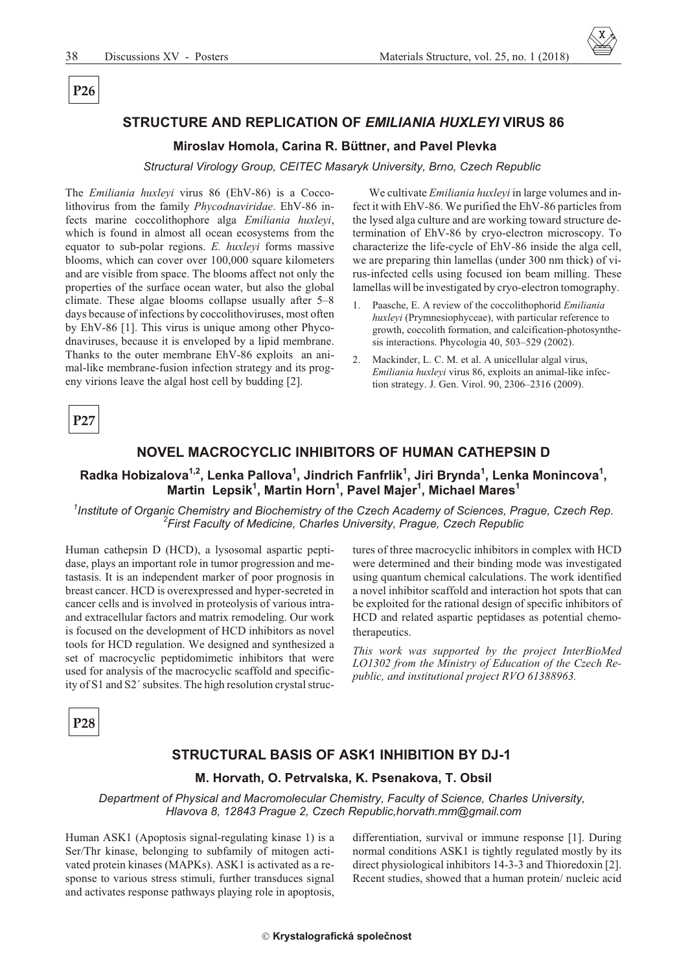#### **STRUCTURE AND REPLICATION OF** *EMILIANIA HUXLEYI* **VIRUS 86**

#### **Miroslav Homola, Carina R. Büttner, and Pavel Plevka**

*Structural Virology Group, CEITEC Masaryk University, Brno, Czech Republic* 

The *Emiliania huxleyi* virus 86 (EhV-86) is a Coccolithovirus from the family *Phycodnaviridae*. EhV-86 infects marine coccolithophore alga *Emiliania huxleyi*, which is found in almost all ocean ecosystems from the equator to sub-polar regions. *E. huxleyi* forms massive blooms, which can cover over 100,000 square kilometers and are visible from space. The blooms affect not only the properties of the surface ocean water, but also the global climate. These algae blooms collapse usually after  $5-8$ days because of infections by coccolithoviruses, most often by EhV-86 [1]. This virus is unique among other Phycodnaviruses, because it is enveloped by a lipid membrane. Thanks to the outer membrane EhV-86 exploits an animal-like membrane-fusion infection strategy and its progeny virions leave the algal host cell by budding [2].

We cultivate *Emiliania huxleyi* in large volumes and infect it with EhV-86. We purified the EhV-86 particles from the lysed alga culture and are working toward structure determination of EhV-86 by cryo-electron microscopy. To characterize the life-cycle of EhV-86 inside the alga cell, we are preparing thin lamellas (under 300 nm thick) of virus-infected cells using focused ion beam milling. These lamellas will be investigated by cryo-electron to mography.

- 1. Paasche, E. A re view of the coccolithophorid *Emiliania huxleyi* (Prymnesiophyceae), with particular reference to growth, coccolith formation, and calcification-photosynthesis interactions. Phycologia 40,  $503-529$  (2002).
- 2. Mackinder, L. C. M. et al. A unicellular algal virus, *Emiliania huxleyi* virus 86, exploits an animal-like infection strategy. J. Gen. Virol. 90, 2306-2316 (2009).

**P27**

#### **NOVEL MACROCYCLIC INHIBITORS OF HUMAN CATHEPSIN D**

#### **Radka Hobizalova1,2, Lenka Pallova<sup>1</sup> , Jindrich Fanfrlik<sup>1</sup> , Jiri Brynda<sup>1</sup> , Lenka Monincova<sup>1</sup> , Mar tin Lepsik<sup>1</sup> , Mar tin Horn<sup>1</sup> , Pavel Majer<sup>1</sup> , Mi chael Mares<sup>1</sup>**

<sup>1</sup> Institute of Organic Chemistry and Biochemistry of the Czech Academy of Sciences, Prague, Czech Rep. <sup>2</sup> First Faculty of Medicine, Charles University, Prague, Czech Republic

Human cathepsin D (HCD), a lysosomal aspartic peptidase, plays an important role in tumor progression and metastasis. It is an independent marker of poor prognosis in breast cancer. HCD is overexpressed and hyper-secreted in cancer cells and is involved in proteolysis of various intraand extracellular factors and matrix remodeling. Our work is focused on the development of HCD inhibitors as novel tools for HCD regulation. We designed and synthesized a set of macrocyclic peptidomimetic inhibitors that were used for analysis of the macrocyclic scaffold and specificity of S1 and S2<sup>'</sup> subsites. The high resolution crystal structures of three macrocyclic inhibitors in complex with HCD were determined and their binding mode was investigated using quantum chemical calculations. The work identified a novel inhibitor scaffold and interaction hot spots that can be exploited for the rational design of specific inhibitors of HCD and related aspartic peptidases as potential chemotherapeutics.

*This work was sup ported by the pro ject InterBioMed LO1302 from the Ministry of Education of the Czech Re*public, and institutional project RVO 61388963.

**P28**

#### **STRUCTURAL BASIS OF ASK1 INHIBITION BY DJ-1**

#### **M. Horvath, O. Petrvalska, K. Psenakova, T. Obsil**

*Department of Physical and Macromolecular Chemistry, Faculty of Science, Charles University, Hlavova 8, 12843 Prague 2, Czech Re pub lic,horvath.mm@gmail.com*

Human ASK1 (Apoptosis signal-regulating kinase 1) is a Ser/Thr kinase, belonging to subfamily of mitogen activated protein kinases (MAPKs). ASK1 is activated as a response to various stress stimuli, further transduces signal and activates response pathways playing role in apoptosis,

differentiation, survival or immune response [1]. During normal conditions ASK1 is tightly regulated mostly by its direct physiological inhibitors 14-3-3 and Thioredoxin [2]. Recent studies, showed that a human protein/ nucleic acid

#### **Krystalografická spoleènost**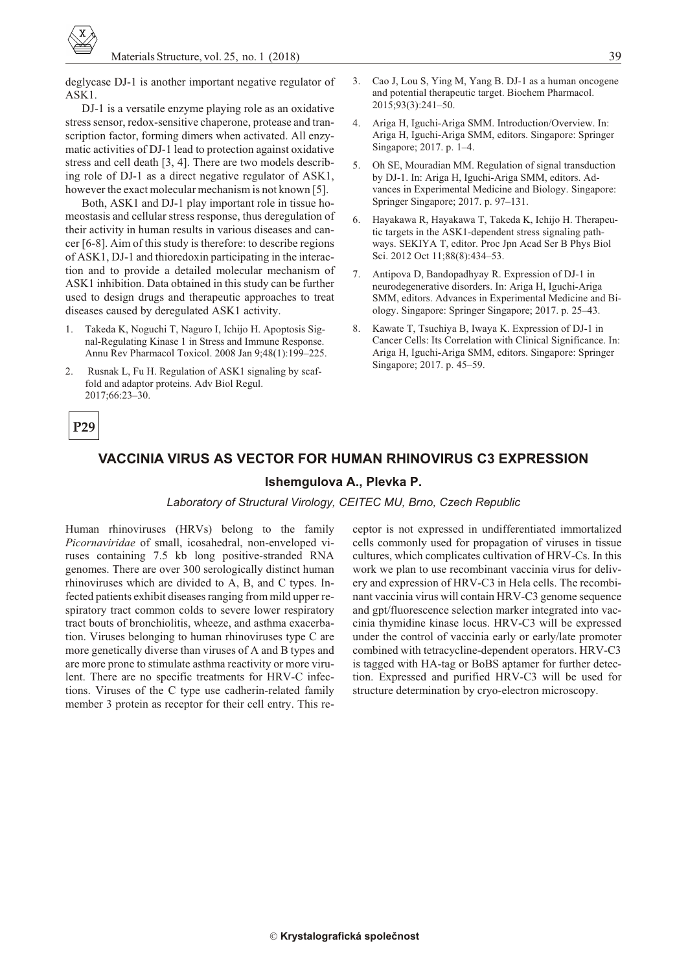deglycase DJ-1 is another important negative regulator of ASK1.

DJ-1 is a versatile enzyme playing role as an oxidative stress sensor, redox-sensitive chaperone, protease and transcription factor, forming dimers when activated. All enzymatic activities of DJ-1 lead to protection against oxidative stress and cell death [3, 4]. There are two models describing role of DJ-1 as a direct negative regulator of ASK1, however the exact molecular mechanism is not known [5].

Both, ASK1 and DJ-1 play important role in tissue homeostasis and cellular stress response, thus de regulation of their activity in human results in various diseases and cancer  $[6-8]$ . Aim of this study is therefore: to describe regions of ASK1, DJ-1 and thioredoxin participating in the interaction and to provide a detailed molecular mechanism of ASK1 inhibition. Data obtained in this study can be further used to design drugs and therapeutic approaches to treat diseases caused by deregulated ASK1 activity.

- 1. Takeda K, Noguchi T, Naguro I, Ichijo H. Apoptosis Signal-Regulating Kinase 1 in Stress and Immune Response. Annu Rev Pharmacol Toxicol. 2008 Jan 9;48(1):199–225.
- 2. Rusnak L, Fu H. Regulation of ASK1 signaling by scaffold and adaptor proteins. Adv Biol Regul. 2017;66:23–30.
- **P29**
- 3. Cao J, Lou S, Ying M, Yang B. DJ-1 as a human oncogene and potential therapeutic target. Biochem Pharmacol. 2015;93(3):241–50.
- 4. Ariga H, Iguchi-Ariga SMM. Introduction/Overview. In: Ariga H, Iguchi-Ariga SMM, editors. Singapore: Springer Singapore; 2017. p. 1–4.
- 5. Oh SE, Mouradian MM. Regulation of signal transduction by DJ-1. In: Ariga H, Iguchi-Ariga SMM, editors. Advances in Experimental Medicine and Biology. Singapore: Springer Singapore; 2017. p. 97-131.
- 6. Hayakawa R, Hayakawa T, Takeda K, Ichijo H. Therapeutic targets in the ASK1-dependent stress signaling pathways. SEKIYA T, editor. Proc Jpn Acad Ser B Phys Biol Sci. 2012 Oct 11;88(8):434–53.
- 7. Antipova D, Bandopadhyay R. Expression of DJ-1 in neurodegenerative disorders. In: Ariga H, Iguchi-Ariga SMM, editors. Advances in Experimental Medicine and Biology. Singapore: Springer Singapore; 2017. p. 25-43.
- 8. Kawate T, Tsuchiya B, Iwaya K. Expression of DJ-1 in Cancer Cells: Its Correlation with Clinical Significance. In: Ariga H, Iguchi-Ariga SMM, editors. Singapore: Springer Singapore; 2017. p. 45–59.

#### **VACCINIA VIRUS AS VECTOR FOR HUMAN RHINOVIRUS C3 EXPRESSION**

#### **Ishemgulova A., Plevka P.**

#### Laboratory of Structural Virology, CEITEC MU, Brno, Czech Republic

Human rhinoviruses (HRVs) belong to the family *Picornaviridae* of small, icosahedral, non-enveloped viruses containing 7.5 kb long positive-stranded RNA genomes. There are over 300 serologically distinct human rhinoviruses which are divided to A, B, and C types. In fected patients exhibit diseases ranging from mild upper respiratory tract common colds to severe lower respiratory tract bouts of bronchiolitis, wheeze, and asthma exacerbation. Viruses belonging to human rhinoviruses type C are more genetically diverse than viruses of A and B types and are more prone to stimulate asthma reactivity or more virulent. There are no specific treatments for HRV-C infections. Viruses of the C type use cadherin-related family member 3 protein as receptor for their cell entry. This re-

ceptor is not expressed in undifferentiated immortalized cells commonly used for propagation of viruses in tissue cultures, which complicates cultivation of HRV-Cs. In this work we plan to use recombinant vaccinia virus for delivery and expression of HRV-C3 in Hela cells. The recombinant vaccinia virus will contain HRV-C3 genome sequence and gpt/fluorescence selection marker integrated into vaccinia thymidine kinase locus. HRV-C3 will be expressed under the control of vaccinia early or early/late promoter combined with tetracycline-dependent operators. HRV-C3 is tagged with HA-tag or BoBS aptamer for further detection. Expressed and purified HRV-C3 will be used for structure determination by cryo-electron microscopy.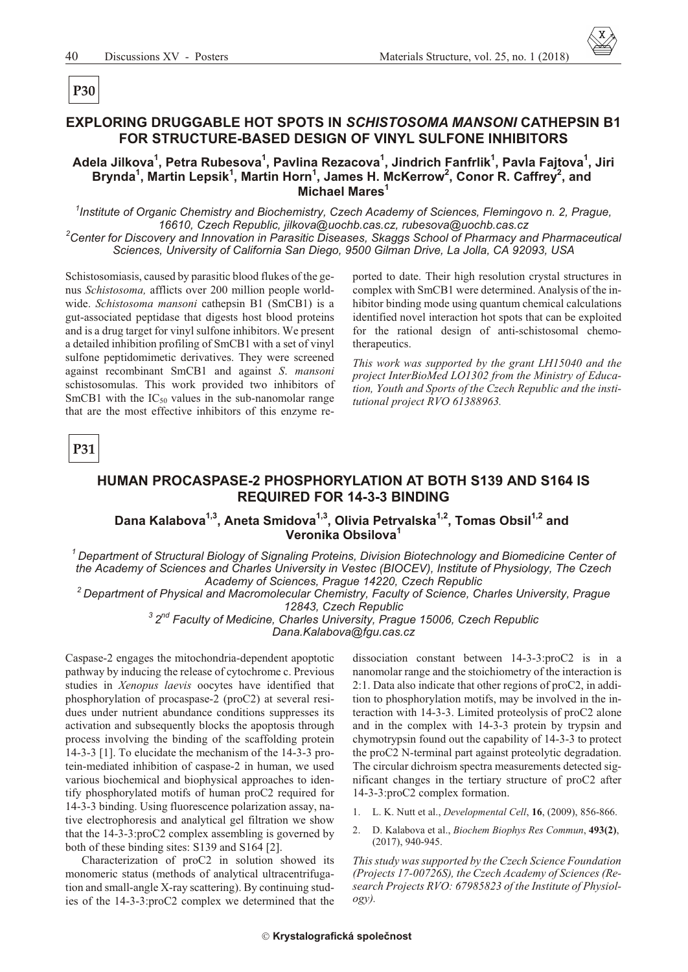# P<sub>30</sub>

## EXPLORING DRUGGABLE HOT SPOTS IN SCHISTOSOMA MANSONI CATHEPSIN B1 FOR STRUCTURE-BASED DESIGN OF VINYL SULFONE INHIBITORS

#### Adela Jilkova<sup>1</sup>, Petra Rubesova<sup>1</sup>, Pavlina Rezacova<sup>1</sup>, Jindrich Fanfrlik<sup>1</sup>, Pavla Fajtova<sup>1</sup>, Jiri Brynda<sup>1</sup>, Martin Lepsik<sup>1</sup>, Martin Horn<sup>1</sup>, James H. McKerrow<sup>2</sup>, Conor R. Caffrey<sup>2</sup>, and Michael Mares<sup>1</sup>

<sup>1</sup>Institute of Organic Chemistry and Biochemistry, Czech Academy of Sciences, Flemingovo n. 2, Prague, 16610, Czech Republic, jilkova@uochb.cas.cz, rubesova@uochb.cas.cz  $^{2}$ Center for Discovery and Innovation in Parasitic Diseases, Skaggs School of Pharmacy and Pharmaceutical Sciences, University of California San Diego, 9500 Gilman Drive, La Jolla, CA 92093, USA

Schistosomiasis, caused by parasitic blood flukes of the genus Schistosoma, afflicts over 200 million people worldwide. Schistosoma mansoni cathepsin B1 (SmCB1) is a gut-associated peptidase that digests host blood proteins and is a drug target for vinyl sulfone inhibitors. We present a detailed inhibition profiling of SmCB1 with a set of vinyl sulfone peptidomimetic derivatives. They were screened against recombinant SmCB1 and against S. mansoni schistosomulas. This work provided two inhibitors of SmCB1 with the  $IC_{50}$  values in the sub-nanomolar range that are the most effective inhibitors of this enzyme re-

ported to date. Their high resolution crystal structures in complex with SmCB1 were determined. Analysis of the inhibitor binding mode using quantum chemical calculations identified novel interaction hot spots that can be exploited for the rational design of anti-schistosomal chemotherapeutics.

This work was supported by the grant LH15040 and the project InterBioMed LO1302 from the Ministry of Education, Youth and Sports of the Czech Republic and the institutional project RVO 61388963.

P31

#### **HUMAN PROCASPASE-2 PHOSPHORYLATION AT BOTH S139 AND S164 IS REQUIRED FOR 14-3-3 BINDING**

#### Dana Kalabova<sup>1,3</sup>, Aneta Smidova<sup>1,3</sup>, Olivia Petrvalska<sup>1,2</sup>, Tomas Obsil<sup>1,2</sup> and Veronika Obsilova<sup>1</sup>

 $^{\prime}$  Department of Structural Biology of Signaling Proteins, Division Biotechnology and Biomedicine Center of the Academy of Sciences and Charles University in Vestec (BIOCEV), Institute of Physiology, The Czech Academy of Sciences, Prague 14220, Czech Republic

 ${}^{2}$ Department of Physical and Macromolecular Chemistry, Faculty of Science, Charles University, Prague 12843, Czech Republic

<sup>3</sup> 2<sup>nd</sup> Faculty of Medicine, Charles University, Prague 15006, Czech Republic Dana.Kalabova@fgu.cas.cz

Caspase-2 engages the mitochondria-dependent apoptotic pathway by inducing the release of cytochrome c. Previous studies in Xenopus laevis oocytes have identified that phosphorylation of procaspase-2 (proC2) at several residues under nutrient abundance conditions suppresses its activation and subsequently blocks the apoptosis through process involving the binding of the scaffolding protein 14-3-3 [1]. To elucidate the mechanism of the 14-3-3 protein-mediated inhibition of caspase-2 in human, we used various biochemical and biophysical approaches to identify phosphorylated motifs of human proC2 required for 14-3-3 binding. Using fluorescence polarization assay, native electrophoresis and analytical gel filtration we show that the 14-3-3:proC2 complex assembling is governed by both of these binding sites: S139 and S164 [2].

Characterization of proC2 in solution showed its monomeric status (methods of analytical ultracentrifugation and small-angle X-ray scattering). By continuing studies of the 14-3-3:proC2 complex we determined that the dissociation constant between 14-3-3:proC2 is in a nanomolar range and the stoichiometry of the interaction is 2:1. Data also indicate that other regions of proC2, in addition to phosphorylation motifs, may be involved in the interaction with 14-3-3. Limited proteolysis of proC2 alone and in the complex with 14-3-3 protein by trypsin and chymotrypsin found out the capability of 14-3-3 to protect the proC2 N-terminal part against proteolytic degradation. The circular dichroism spectra measurements detected significant changes in the tertiary structure of proC2 after 14-3-3:proC2 complex formation.

- 1. L. K. Nutt et al., *Developmental Cell*, **16**, (2009), 856-866.
- $\mathcal{D}$ D. Kalabova et al., *Biochem Biophys Res Commun*, 493(2),  $(2017), 940-945.$

This study was supported by the Czech Science Foundation (Projects 17-00726S), the Czech Academy of Sciences (Research Projects RVO: 67985823 of the Institute of Physiology).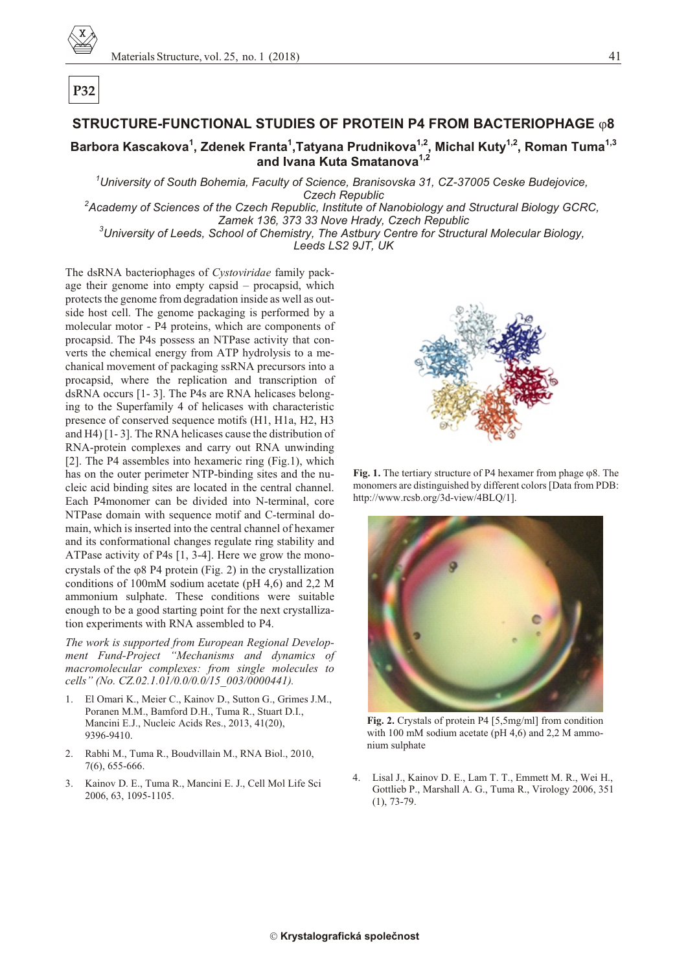

## **STRUCTURE-FUNCTIONAL STUDIES OF PROTEIN P4 FROM BACTERIOPHAGE 8**

#### **Barbora Kascakova<sup>1</sup> , Zdenek Franta<sup>1</sup> ,Tatyana Prudnikova1,2, Michal Kuty1,2, Ro man Tuma1,3 and Ivana Kuta Smatanova1,2**

<sup>1</sup> University of South Bohemia, Faculty of Science, Branisovska 31, CZ-37005 Ceske Budejovice, **Czech Republic** 

<sup>2</sup>Academy of Sciences of the Czech Republic, Institute of Nanobiology and Structural Biology GCRC, Zamek 136, 373 33 Nove Hrady, Czech Republic

<sup>3</sup> University of Leeds, School of Chemistry, The Astbury Centre for Structural Molecular Biology, *Leeds LS2 9JT, UK*

The dsRNA bacteriophages of *Cystoviridae* family package their genome into empty capsid – procapsid, which protects the genome from degradation inside as well as outside host cell. The genome packaging is performed by a molecular motor - P4 proteins, which are components of procapsid. The P4s possess an NTPase activity that converts the chemical energy from ATP hydrolysis to a mechanical movement of packaging ssRNA precursors into a procapsid, where the replication and transcription of dsRNA occurs [1-3]. The P4s are RNA helicases belonging to the Superfamily 4 of helicases with characteristic presence of conserved sequence motifs (H1, H1a, H2, H3 and  $H4$ ) [1-3]. The RNA helicases cause the distribution of RNA-protein complexes and carry out RNA unwinding [2]. The P4 assembles into hexameric ring (Fig.1), which has on the outer perimeter NTP-binding sites and the nucleic acid binding sites are located in the central channel. Each P4monomer can be divided into N-terminal, core NTPase domain with sequence motif and C-terminal domain, which is inserted into the central channel of hexamer and its conformational changes regulate ring stability and ATPase activity of P4s  $[1, 3-4]$ . Here we grow the monocrystals of the  $8$  P4 protein (Fig. 2) in the crystal lization conditions of 100mM sodium acetate (pH 4,6) and 2,2 M ammonium sulphate. These conditions were suitable enough to be a good starting point for the next crystallization experiments with RNA assembled to P4.

The work is supported from European Regional Develop*ment Fund-Project "Mechanisms and dynamics of macromolecular complexes: from single molecules to cells" (No. CZ.02.1.01/0.0/0.0/15\_003/0000441).*

- 1. El Omari K., Meier C., Kainov D., Sutton G., Grimes J.M., Poranen M.M., Bamford D.H., Tuma R., Stuart D.I., Mancini E.J., Nucleic Acids Res., 2013, 41(20), 9396-9410.
- 2. Rabhi M., Tuma R., Boudvillain M., RNA Biol., 2010, 7(6), 655-666.
- 3. Kainov D. E., Tuma R., Mancini E. J., Cell Mol Life Sci 2006, 63, 1095-1105.



Fig. 1. The tertiary structure of P4 hexamer from phage 8. The monomers are distinguished by different colors [Data from PDB: http://www.rcsb.org/3d-view/4BLQ/1].



Fig. 2. Crystals of protein P4 [5,5mg/ml] from condition with 100 mM sodium acetate (pH 4,6) and 2,2 M ammonium sulphate

4. Lisal J., Kainov D. E., Lam T. T., Emmett M. R., Wei H., Gottlieb P., Marshall A. G., Tuma R., Virology 2006, 351 (1), 73-79.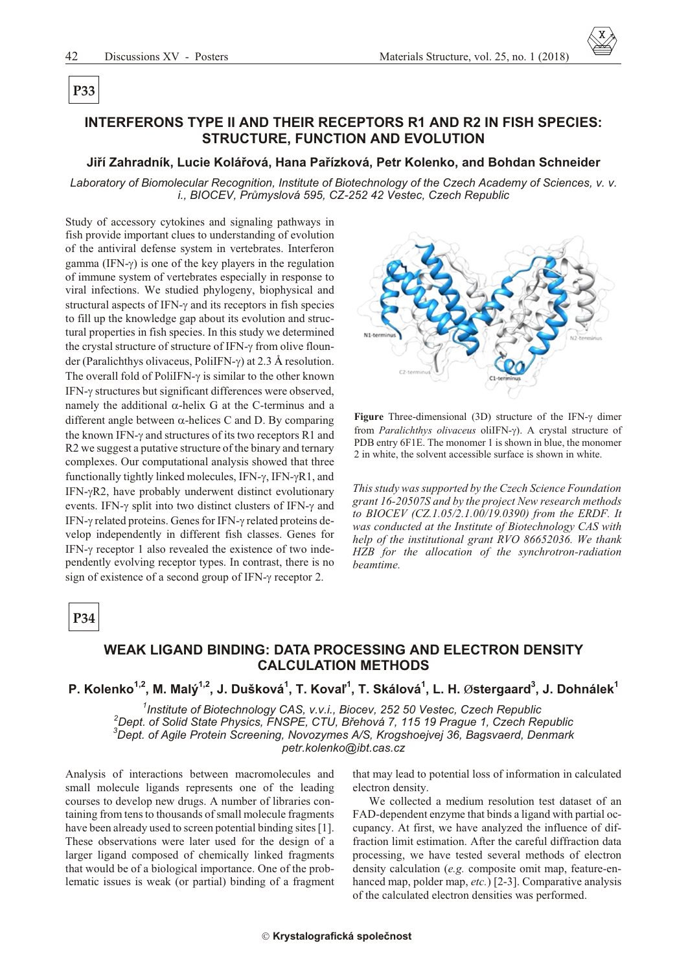# P<sub>33</sub>

## **INTERFERONS TYPE II AND THEIR RECEPTORS R1 AND R2 IN FISH SPECIES: STRUCTURE, FUNCTION AND EVOLUTION**

#### Jiří Zahradník, Lucie Kolářová, Hana Pařízková, Petr Kolenko, and Bohdan Schneider

Laboratory of Biomolecular Recognition, Institute of Biotechnology of the Czech Academy of Sciences, v. v. i., BIOCEV, Průmyslová 595, CZ-252 42 Vestec, Czech Republic

Study of accessory cytokines and signaling pathways in fish provide important clues to understanding of evolution of the antiviral defense system in vertebrates. Interferon gamma (IFN-) is one of the key players in the regulation of immune system of vertebrates especially in response to viral infections. We studied phylogeny, biophysical and structural aspects of IFN- and its receptors in fish species to fill up the knowledge gap about its evolution and structural properties in fish species. In this study we determined the crystal structure of structure of IFN- from olive flounder (Paralichthys olivaceus, PoliIFN-) at 2.3 Å resolution. The overall fold of PoliIFN- is similar to the other known IFN- structures but significant differences were observed, namely the additional -helix G at the C-terminus and a different angle between -helices C and D. By comparing the known IFN- and structures of its two receptors R1 and R2 we suggest a putative structure of the binary and ternary complexes. Our computational analysis showed that three functionally tightly linked molecules, IFN-, IFN-R1, and IFN-R2, have probably underwent distinct evolutionary events. IFN- split into two distinct clusters of IFN- and IFN- related proteins. Genes for IFN- related proteins develop independently in different fish classes. Genes for IFN- receptor 1 also revealed the existence of two independently evolving receptor types. In contrast, there is no sign of existence of a second group of IFN- receptor 2.



Figure Three-dimensional (3D) structure of the IFN- dimer from Paralichthys olivaceus oliIFN- ). A crystal structure of PDB entry 6F1E. The monomer 1 is shown in blue, the monomer 2 in white, the solvent accessible surface is shown in white.

This study was supported by the Czech Science Foundation grant 16-20507S and by the project New research methods to BIOCEV (CZ.1.05/2.1.00/19.0390) from the ERDF. It was conducted at the Institute of Biotechnology CAS with help of the institutional grant RVO 86652036. We thank HZB for the allocation of the synchrotron-radiation *heamtime* 

## P34

## **WEAK LIGAND BINDING: DATA PROCESSING AND ELECTRON DENSITY CALCULATION METHODS**

## P. Kolenko<sup>1,2</sup>, M. Malý<sup>1,2</sup>, J. Dušková<sup>1</sup>, T. Kovaľ<sup>1</sup>, T. Skálová<sup>1</sup>, L. H. Østergaard<sup>3</sup>, J. Dohnálek<sup>1</sup>

<sup>1</sup>Institute of Biotechnology CAS, v.v.i., Biocev, 252 50 Vestec, Czech Republic <sup>2</sup>Dept. of Solid State Physics, FNSPE, CTU, Břehová 7, 115 19 Prague 1, Czech Republic  $^3$ Dept. of Agile Protein Screening, Novozymes A/S, Krogshoejvej 36, Bagsvaerd, Denmark petr.kolenko@ibt.cas.cz

Analysis of interactions between macromolecules and small molecule ligands represents one of the leading courses to develop new drugs. A number of libraries containing from tens to thousands of small molecule fragments have been already used to screen potential binding sites [1]. These observations were later used for the design of a larger ligand composed of chemically linked fragments that would be of a biological importance. One of the problematic issues is weak (or partial) binding of a fragment

that may lead to potential loss of information in calculated electron density.

We collected a medium resolution test dataset of an FAD-dependent enzyme that binds a ligand with partial occupancy. At first, we have analyzed the influence of diffraction limit estimation. After the careful diffraction data processing, we have tested several methods of electron density calculation (e.g. composite omit map, feature-enhanced map, polder map, etc.) [2-3]. Comparative analysis of the calculated electron densities was performed.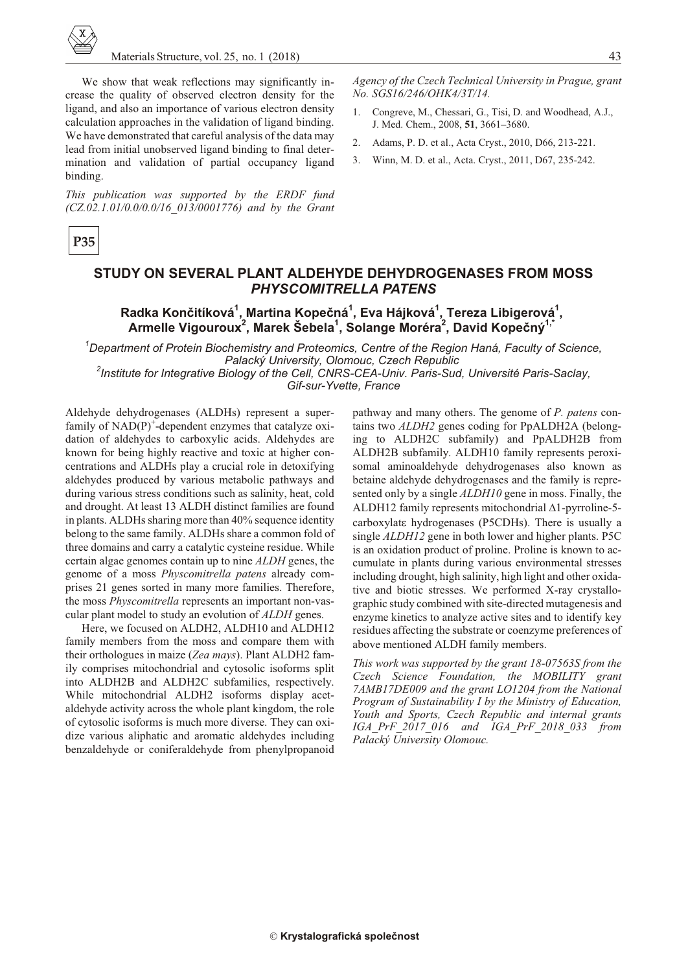Materials Structure, vol. 25, no. 1 (2018)

We show that weak reflections may significantly increase the quality of observed electron density for the ligand, and also an importance of various electron density calculation approaches in the validation of ligand binding. We have demonstrated that careful analysis of the data may lead from initial unobserved ligand binding to final determination and validation of partial occupancy ligand binding.

This publication was supported by the ERDF fund  $(CZ.02.1.01/0.0/0.0/16 013/0001776)$  and by the Grant

P<sub>35</sub>

Agency of the Czech Technical University in Prague, grant No. SGS16/246/OHK4/3T/14.

- $1$ Congreve, M., Chessari, G., Tisi, D. and Woodhead, A.J., J. Med. Chem., 2008, 51, 3661-3680.
- 2. Adams, P. D. et al., Acta Cryst., 2010, D66, 213-221.
- $\mathcal{E}$ Winn, M. D. et al., Acta. Cryst., 2011, D67, 235-242.

#### STUDY ON SEVERAL PLANT ALDEHYDE DEHYDROGENASES FROM MOSS **PHYSCOMITRELLA PATENS**

# Radka Končitíková<sup>1</sup>, Martina Kopečná<sup>1</sup>, Eva Hájková<sup>1</sup>, Tereza Libigerová<sup>1</sup>, Armelle Vigouroux<sup>2</sup>, Marek Šebela<sup>1</sup>, Solange Moréra<sup>2</sup>, David Kopečný<sup>1,\*</sup>

<sup>1</sup>Department of Protein Biochemistry and Proteomics, Centre of the Region Haná, Faculty of Science, Palacký University, Olomouc, Czech Republic <sup>2</sup>Institute for Integrative Biology of the Cell, CNRS-CEA-Univ. Paris-Sud, Université Paris-Saclay, Gif-sur-Yvette, France

Aldehyde dehydrogenases (ALDHs) represent a superfamily of  $NAD(P)^+$ -dependent enzymes that catalyze oxidation of aldehydes to carboxylic acids. Aldehydes are known for being highly reactive and toxic at higher concentrations and ALDHs play a crucial role in detoxifying aldehydes produced by various metabolic pathways and during various stress conditions such as salinity, heat, cold and drought. At least 13 ALDH distinct families are found in plants. ALDHs sharing more than 40% sequence identity belong to the same family. ALDHs share a common fold of three domains and carry a catalytic cysteine residue. While certain algae genomes contain up to nine ALDH genes, the genome of a moss Physcomitrella patens already comprises 21 genes sorted in many more families. Therefore, the moss *Physcomitrella* represents an important non-vascular plant model to study an evolution of ALDH genes.

Here, we focused on ALDH2, ALDH10 and ALDH12 family members from the moss and compare them with their orthologues in maize (Zea mays). Plant ALDH2 family comprises mitochondrial and cytosolic isoforms split into ALDH2B and ALDH2C subfamilies, respectively. While mitochondrial ALDH2 isoforms display acetaldehyde activity across the whole plant kingdom, the role of cytosolic isoforms is much more diverse. They can oxidize various aliphatic and aromatic aldehydes including benzaldehyde or coniferaldehyde from phenylpropanoid pathway and many others. The genome of P. patens contains two *ALDH2* genes coding for PpALDH2A (belonging to ALDH2C subfamily) and PpALDH2B from ALDH2B subfamily. ALDH10 family represents peroxisomal aminoaldehyde dehydrogenases also known as betaine aldehyde dehydrogenases and the family is represented only by a single ALDH10 gene in moss. Finally, the ALDH12 family represents mitochondrial 1-pyrroline-5carboxylat hydrogenases (P5CDHs). There is usually a single ALDH12 gene in both lower and higher plants. P5C is an oxidation product of proline. Proline is known to accumulate in plants during various environmental stresses including drought, high salinity, high light and other oxidative and biotic stresses. We performed X-ray crystallographic study combined with site-directed mutagenesis and enzyme kinetics to analyze active sites and to identify key residues affecting the substrate or coenzyme preferences of above mentioned ALDH family members.

This work was supported by the grant 18-07563S from the Czech Science Foundation, the MOBILITY grant 7AMB17DE009 and the grant LO1204 from the National Program of Sustainability I by the Ministry of Education, Youth and Sports, Czech Republic and internal grants IGA PrF 2017 016 and IGA PrF 2018 033 from Palacký University Olomouc.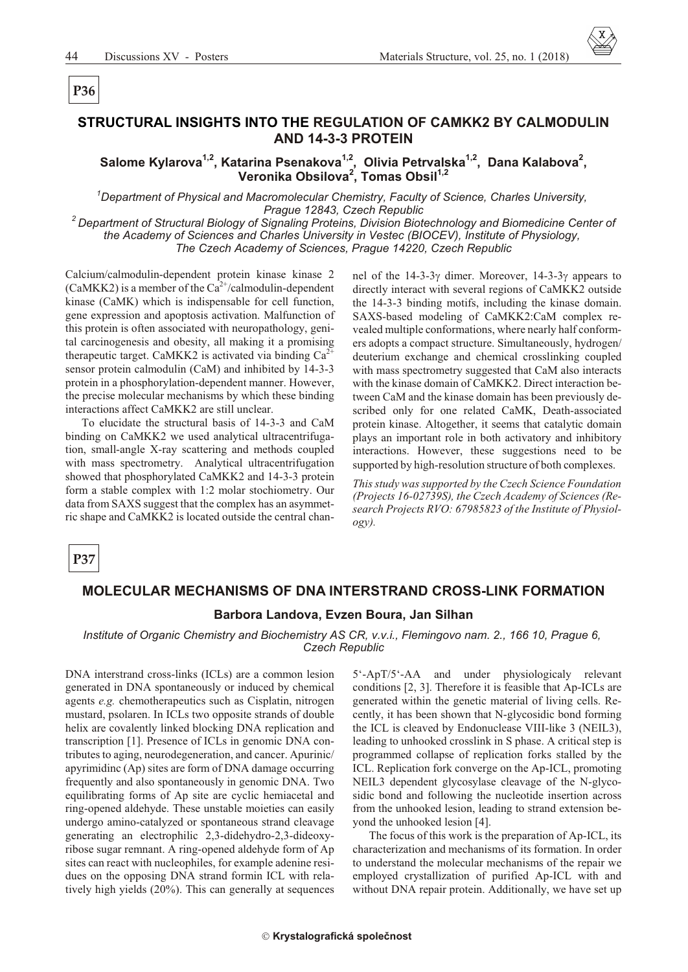#### **STRUCTURAL INSIGHTS INTO THE REGULATION OF CAMKK2 BY CALMODULIN AND 14-3-3 PROTEIN**

**Salome Kylarova1,2 , Katarina Psenakova1,2, Olivia Petrvalska1,2, Dana Kalabova<sup>2</sup> , Veronika Obsilova<sup>2</sup> , Tomas Obsil1,2**

*<sup>1</sup>Department of Physical and Macromolecular Chemistry, Faculty of Science, Charles University,* **Prague 12843, Czech Republic** 

<sup>2</sup> Department of Structural Biology of Signaling Proteins, Division Biotechnology and Biomedicine Center of *the Academy of Sciences and Charles University in Vestec (BIOCEV), Institute of Physiology, The Czech Academy of Sciences, Prague 14220, Czech Republic* 

Calcium/calmodulin-dependent protein kinase kinase 2 (CaMKK2) is a member of the  $Ca^{2+}/cal$ calmodulin-dependent kinase (CaMK) which is indispensable for cell function, gene expression and apoptosis activation. Malfunction of this protein is often associated with neuropathology, genital carcinogenesis and obesity, all making it a promising ther a peutic target. CaMKK2 is activated via binding  $Ca<sup>2</sup>$ sensor protein calmodulin  $(CaM)$  and inhibited by 14-3-3 protein in a phosphorylation-dependent manner. However, the precise molecular mechanisms by which these binding interactions affect CaMKK2 are still unclear.

To elucidate the structural basis of 14-3-3 and CaM binding on CaMKK2 we used analytical ultracentrifugation, small-angle X-ray scattering and methods coupled with mass spectrometry. Analytical ultracentrifugation showed that phosphorylated CaMKK2 and 14-3-3 protein form a stable complex with 1:2 molar stochiometry. Our data from SAXS suggest that the complex has an asymmetric shape and CaMKK2 is located outside the central channel of the 14-3-3 dimer. Moreover, 14-3-3 appears to directly interact with several regions of CaMKK2 outside the 14-3-3 binding motifs, including the kinase domain. SAXS-based modeling of CaMKK2:CaM complex revealed multiple conformations, where nearly half conformers adopts a compact structure. Simultaneously, hydrogen/ deuterium exchange and chemical crosslinking coupled with mass spectrometry suggested that CaM also interacts with the kinase domain of CaMKK2. Direct interaction between CaM and the kinase domain has been previously described only for one related CaMK, Death-associated protein kinase. Altogether, it seems that catalytic domain plays an important role in both activatory and inhibitory interactions. However, these suggestions need to be supported by high-resolution structure of both complexes.

*This study was supported by the Czech Science Foundation (Projects 16-02739S), the Czech Academy of Sciences (Re*search Projects RVO: 67985823 of the Institute of Physiol*ogy).*

**P37**

# **MOLECULAR MECHANISMS OF DNA INTERSTRAND CROSS-LINK FORMATION**

#### **Barbora Landova, Evzen Boura, Jan Silhan**

#### *Institute of Organic Chemistry and Biochemistry AS CR, v.v.i., Flemingovo nam. 2., 166 10, Prague 6,* **Czech Republic**

DNA interstrand cross-links (ICLs) are a common lesion generated in DNA spontaneously or induced by chemical agents *e.g.* chemotherapeutics such as Cisplatin, nitrogen mustard, psolaren. In ICLs two opposite strands of double helix are covalently linked blocking DNA replication and transcription [1]. Presence of ICLs in genomic DNA contributes to aging, neurodegeneration, and cancer. Apurinic/ apyrimidinc (Ap) sites are form of DNA damage occurring frequently and also spontaneously in genomic DNA. Two equilibrating forms of Ap site are cyclic hemiacetal and ring-opened aldehyde. These unstable moieties can easily undergo amino-catalyzed or spontaneous strand cleavage generating an electrophilic 2,3-didehydro-2,3-dideoxyribose sugar remnant. A ring-opened aldehyde form of Ap sites can react with nucleophiles, for example adenine residues on the opposing DNA strand formin ICL with relatively high yields  $(20\%)$ . This can generally at sequences 5'-ApT/5'-AA and under physiologicaly relevant conditions  $[2, 3]$ . Therefore it is feasible that Ap-ICLs are generated within the genetic material of living cells. Recently, it has been shown that N-glycosidic bond forming the ICL is cleaved by Endonuclease VIII-like 3 (NEIL3), leading to unhooked crosslink in S phase. A critical step is programmed collapse of replication forks stalled by the ICL. Replication fork converge on the Ap-ICL, promoting NEIL3 dependent glycosylase cleavage of the N-glycosidic bond and following the nucleotide insertion across from the unhooked lesion, leading to strand extension beyond the unhooked lesion [4].

The focus of this work is the preparation of Ap-ICL, its characterization and mechanisms of its formation. In order to understand the molecular mechanisms of the repair we employed crystallization of purified Ap-ICL with and without DNA repair protein. Additionally, we have set up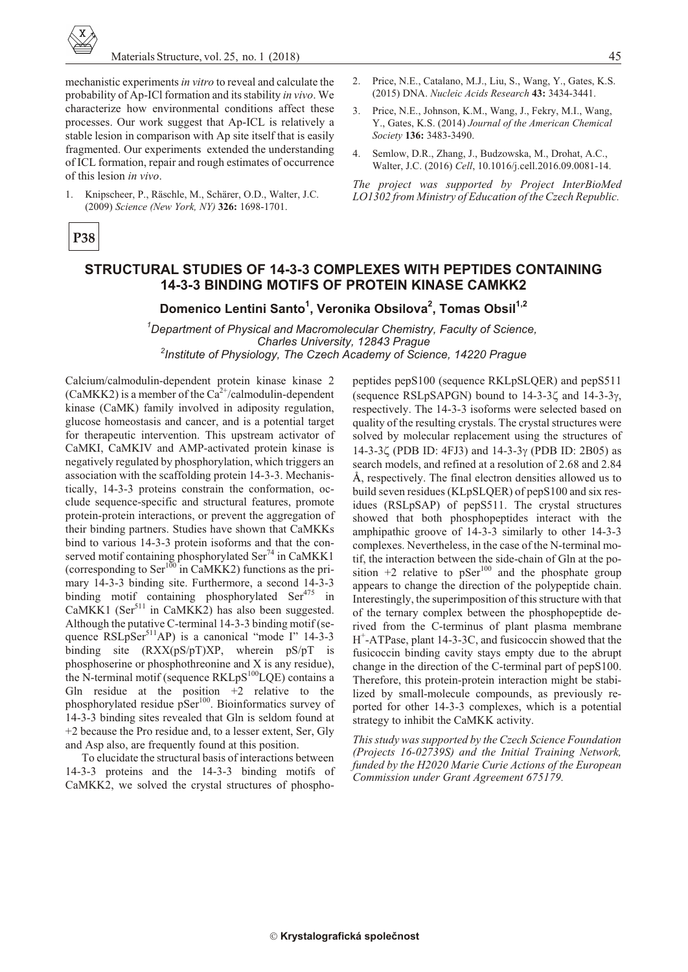mechanistic experiments *in vitro* to reveal and calculate the probability of Ap-ICl formation and its stability *in vivo*. We characterize how environmental conditions affect these processes. Our work suggest that Ap-ICL is relatively a stable lesion in comparison with Ap site itself that is easily fragmented. Our experiments extended the understanding of ICL formation, repair and rough estimates of occurrence of this le sion *in vivo*.

- 1. Knipscheer, P., Räschle, M., Schärer, O.D., Walter, J.C. (2009) *Sci ence (New York, NY)* **326:** 1698-1701.
- **P38**
- 2. Price, N.E., Catalano, M.J., Liu, S., Wang, Y., Gates, K.S. (2015) DNA. *Nu cleic Ac ids Re search* **43:** 3434-3441.
- 3. Price, N.E., Johnson, K.M., Wang, J., Fekry, M.I., Wang, Y., Gates, K.S. (2014) *Journal of the American Chemical So ci ety* **136:** 3483-3490.
- 4. Semlow, D.R., Zhang, J., Budzowska, M., Drohat, A.C., Walter, J.C. (2016) *Cell*, 10.1016/j.cell.2016.09.0081-14.

*The pro ject was sup ported by Pro ject InterBioMed LO1302 from Ministry of Education of the Czech Republic.* 

#### **STRUCTURAL STUDIES OF 14-3-3 COMPLEXES WITH PEPTIDES CONTAINING 14-3-3 BINDING MOTIFS OF PROTEIN KINASE CAMKK2**

**Domenico Lentini Santo<sup>1</sup> , Veronika Obsilova<sup>2</sup> , Tomas Obsil1,2**

<sup>1</sup>Department of Physical and Macromolecular Chemistry, Faculty of Science, *Charles Uni ver sity, 12843 Prague* <sup>2</sup> Institute of Physiology, The Czech Academy of Science, 14220 Prague

Calcium/calmodulin-dependent protein kinase kinase 2 (CaMKK2) is a member of the  $Ca^{2+}/cal$ calmodulin-dependent kinase (CaMK) family involved in adiposity regulation, glucose homeostasis and cancer, and is a potential target for therapeutic intervention. This upstream activator of CaMKI, CaMKIV and AMP-activated protein kinase is negatively regulated by phosphorylation, which triggers an association with the scaffolding protein 14-3-3. Mechanistically, 14-3-3 proteins constrain the conformation, occlude sequence-specific and structural features, promote protein-protein interactions, or prevent the aggregation of their binding partners. Studies have shown that CaMKKs bind to various 14-3-3 protein isoforms and that the conserved motif containing phosphorylated Ser<sup>74</sup> in CaMKK1 (corresponding to Ser<sup>100</sup> in CaMKK2) functions as the primary 14-3-3 binding site. Furthermore, a second 14-3-3 binding motif containing phosphorylated  $\text{Ser}^{475}$  in CaMKK1 (Ser $511$  in CaMKK2) has also been suggested. Although the putative C-terminal  $14-3-3$  binding motif (sequence  $RSLpSer<sup>511</sup>AP$ ) is a canonical "mode I" 14-3-3 binding site  $(RXX(pS/pT)XP)$ , wherein  $pS/pT$  is phosphoserine or phosphothreonine and  $X$  is any residue), the N-terminal motif (sequence  $RKLpS^{100}LQE)$  contains a Gln residue at the position  $+2$  relative to the phosphorylated residue  $p\text{Ser}^{100}$ . Bioinformatics survey of 14-3-3 binding sites revealed that Gln is seldom found at  $+2$  because the Pro residue and, to a lesser extent, Ser, Gly and Asp also, are frequently found at this position.

To elucidate the structural basis of interactions between 14-3-3 proteins and the 14-3-3 binding motifs of CaMKK2, we solved the crystal structures of phosphopeptides pepS100 (sequence RKLpSLQER) and pepS511 (sequence RSLpSAPGN) bound to 14-3-3 and 14-3-3, respectively. The 14-3-3 isoforms were selected based on quality of the resulting crystals. The crystal structures were solved by molecular replacement using the structures of 14-3-3 (PDB ID: 4FJ3) and 14-3-3 (PDB ID: 2B05) as search models, and refined at a resolution of 2.68 and 2.84 A, respectively. The final electron densities allowed us to build seven residues (KLpSLQER) of pepS100 and six residues (RSLpSAP) of pepS511. The crystal structures showed that both phosphopeptides interact with the amphipathic groove of 14-3-3 similarly to other 14-3-3 complexes. Nevertheless, in the case of the N-terminal motif, the interaction between the side-chain of Gln at the position  $+2$  relative to pSer<sup>100</sup> and the phosphate group appears to change the direction of the polypeptide chain. Interestingly, the superimposition of this structure with that of the ternary complex between the phosphopeptide de rived from the C-terminus of plant plasma membrane H + -ATPase, plant 14-3-3C, and fusicoccin showed that the fusicoccin binding cavity stays empty due to the abrupt change in the direction of the C-terminal part of pepS100. Therefore, this protein-protein interaction might be stabilized by small-molecule compounds, as previously reported for other 14-3-3 complexes, which is a potential strategy to inhibit the CaMKK activity.

*This study was supported by the Czech Science Foundation (Projects 16-02739S) and the Initial Training Network, funded by the H2020 Marie Curie Actions of the European Com mis sion un der Grant Agree ment 675179.*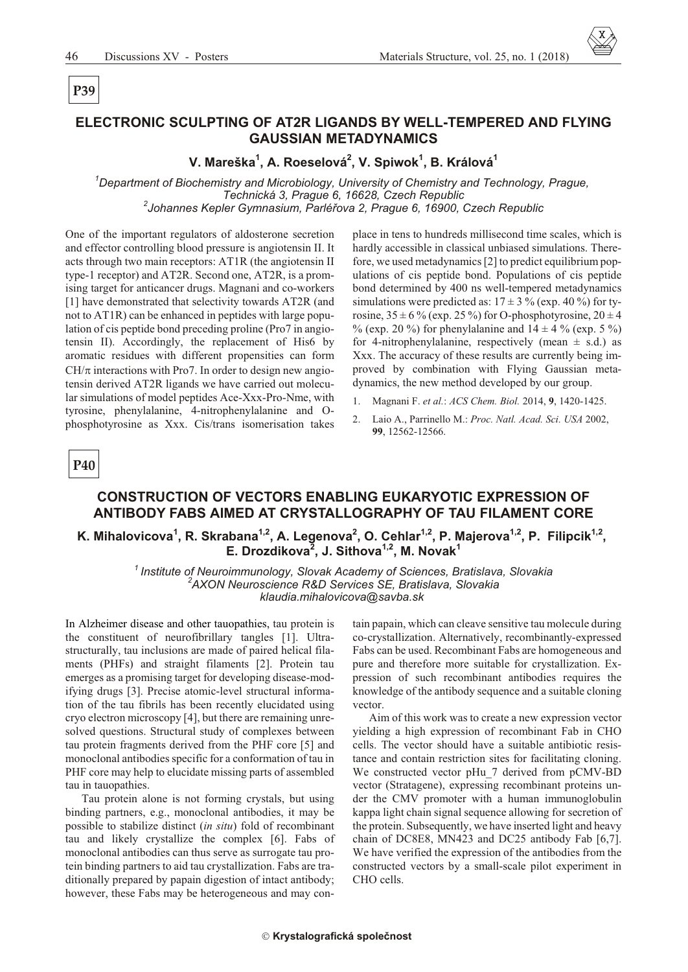#### ELECTRONIC SCULPTING OF AT2R LIGANDS BY WELL-TEMPERED AND FLYING **GAUSSIAN METADYNAMICS**

## V. Mareška<sup>1</sup>, A. Roeselová<sup>2</sup>, V. Spiwok<sup>1</sup>, B. Králová<sup>1</sup>

<sup>1</sup>Department of Biochemistry and Microbiology, University of Chemistry and Technology, Prague, Technická 3, Prague 6, 16628, Czech Republic <sup>2</sup>Johannes Kepler Gymnasium, Parléřova 2, Prague 6, 16900, Czech Republic

One of the important regulators of aldosterone secretion and effector controlling blood pressure is angiotensin II. It acts through two main receptors: AT1R (the angiotensin II type-1 receptor) and AT2R. Second one, AT2R, is a promising target for anticancer drugs. Magnani and co-workers [1] have demonstrated that selectivity towards AT2R (and not to AT1R) can be enhanced in peptides with large population of cis peptide bond preceding proline (Pro7 in angiotensin II). Accordingly, the replacement of His6 by aromatic residues with different propensities can form CH/ interactions with Pro7. In order to design new angiotensin derived AT2R ligands we have carried out molecular simulations of model peptides Ace-Xxx-Pro-Nme, with tyrosine, phenylalanine, 4-nitrophenylalanine and Ophosphotyrosine as Xxx. Cis/trans isomerisation takes place in tens to hundreds millisecond time scales, which is hardly accessible in classical unbiased simulations. Therefore, we used metadynamics [2] to predict equilibrium populations of cis peptide bond. Populations of cis peptide bond determined by 400 ns well-tempered metadynamics simulations were predicted as:  $17 \pm 3\%$  (exp. 40 %) for tyrosine,  $35 \pm 6$  % (exp. 25 %) for O-phosphotyrosine,  $20 \pm 4$ % (exp. 20 %) for phenylalanine and  $14 \pm 4$  % (exp. 5 %) for 4-nitrophenylalanine, respectively (mean  $\pm$  s.d.) as Xxx. The accuracy of these results are currently being improved by combination with Flying Gaussian metadynamics, the new method developed by our group.

- 1. Magnani F. et al.: ACS Chem. Biol. 2014, 9, 1420-1425.
- Laio A., Parrinello M.: Proc. Natl. Acad. Sci. USA 2002,  $\mathcal{D}$ 99.12562-12566.

# P40

#### **CONSTRUCTION OF VECTORS ENABLING EUKARYOTIC EXPRESSION OF** ANTIBODY FABS AIMED AT CRYSTALLOGRAPHY OF TAU FILAMENT CORE

# K. Mihalovicova<sup>1</sup>, R. Skrabana<sup>1,2</sup>, A. Legenova<sup>2</sup>, O. Cehlar<sup>1,2</sup>, P. Majerova<sup>1,2</sup>, P. Filipcik<sup>1,2</sup>,<br>E. Drozdikova<sup>2</sup>, J. Sithova<sup>1,2</sup>, M. Novak<sup>1</sup>

<sup>1</sup> Institute of Neuroimmunology, Slovak Academy of Sciences, Bratislava, Slovakia <sup>2</sup>AXON Neuroscience R&D Services SE, Bratislava, Slovakia klaudia.mihalovicova@savba.sk

In Alzheimer disease and other tauopathies, tau protein is the constituent of neurofibrillary tangles [1]. Ultrastructurally, tau inclusions are made of paired helical filaments (PHFs) and straight filaments [2]. Protein tau emerges as a promising target for developing disease-modifying drugs [3]. Precise atomic-level structural information of the tau fibrils has been recently elucidated using cryo electron microscopy [4], but there are remaining unresolved questions. Structural study of complexes between tau protein fragments derived from the PHF core [5] and monoclonal antibodies specific for a conformation of tau in PHF core may help to elucidate missing parts of assembled tau in tauopathies.

Tau protein alone is not forming crystals, but using binding partners, e.g., monoclonal antibodies, it may be possible to stabilize distinct *(in situ)* fold of recombinant tau and likely crystallize the complex [6]. Fabs of monoclonal antibodies can thus serve as surrogate tau protein binding partners to aid tau crystallization. Fabs are traditionally prepared by papain digestion of intact antibody; however, these Fabs may be heterogeneous and may contain papain, which can cleave sensitive tau molecule during co-crystallization. Alternatively, recombinantly-expressed Fabs can be used. Recombinant Fabs are homogeneous and pure and therefore more suitable for crystallization. Expression of such recombinant antibodies requires the knowledge of the antibody sequence and a suitable cloning vector

Aim of this work was to create a new expression vector yielding a high expression of recombinant Fab in CHO cells. The vector should have a suitable antibiotic resistance and contain restriction sites for facilitating cloning. We constructed vector pHu\_7 derived from pCMV-BD vector (Stratagene), expressing recombinant proteins under the CMV promoter with a human immunoglobulin kappa light chain signal sequence allowing for secretion of the protein. Subsequently, we have inserted light and heavy chain of DC8E8, MN423 and DC25 antibody Fab [6,7]. We have verified the expression of the antibodies from the constructed vectors by a small-scale pilot experiment in CHO cells.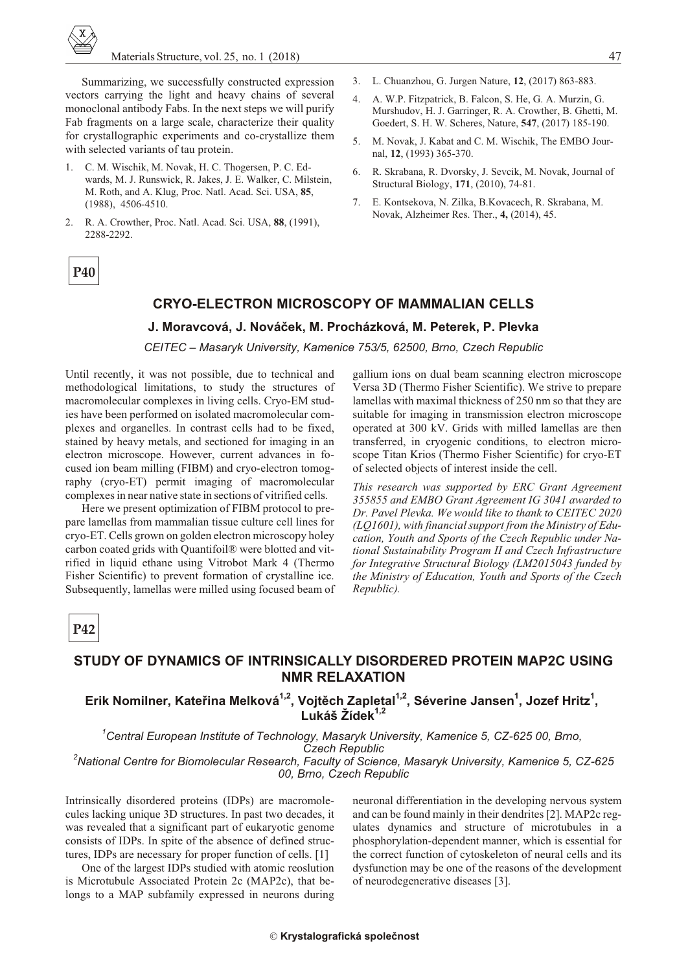Materials Structure, vol. 25, no. 1 (2018)

Summarizing, we successfully constructed expression vectors carrying the light and heavy chains of several monoclonal antibody Fabs. In the next steps we will purify Fab fragments on a large scale, characterize their quality for crystallographic experiments and co-crystallize them with selected variants of tau protein.

- C. M. Wischik, M. Novak, H. C. Thogersen, P. C. Ed-1. wards, M. J. Runswick, R. Jakes, J. E. Walker, C. Milstein, M. Roth, and A. Klug, Proc. Natl. Acad. Sci. USA, 85,  $(1988), 4506-4510.$
- 2. R. A. Crowther, Proc. Natl. Acad. Sci. USA, 88, (1991), 2288-2292.
- 3. L. Chuanzhou, G. Jurgen Nature, 12, (2017) 863-883.
- $\mathbf{A}$ A. W.P. Fitzpatrick, B. Falcon, S. He, G. A. Murzin, G. Murshudov, H. J. Garringer, R. A. Crowther, B. Ghetti, M. Goedert, S. H. W. Scheres, Nature, 547, (2017) 185-190.
- 5. M. Novak, J. Kabat and C. M. Wischik, The EMBO Journal, 12, (1993) 365-370.
- R. Skrabana, R. Dvorsky, J. Sevcik, M. Novak, Journal of 6. Structural Biology, 171, (2010), 74-81.
- E. Kontsekova, N. Zilka, B.Kovacech, R. Skrabana, M. 7. Novak, Alzheimer Res. Ther., 4, (2014), 45.

# P<sub>40</sub>

#### **CRYO-ELECTRON MICROSCOPY OF MAMMALIAN CELLS**

#### J. Moravcová, J. Nováček, M. Procházková, M. Peterek, P. Plevka

CEITEC - Masaryk University, Kamenice 753/5, 62500, Brno, Czech Republic

Until recently, it was not possible, due to technical and methodological limitations, to study the structures of macromolecular complexes in living cells. Cryo-EM studies have been performed on isolated macromolecular complexes and organelles. In contrast cells had to be fixed, stained by heavy metals, and sectioned for imaging in an electron microscope. However, current advances in focused ion beam milling (FIBM) and cryo-electron tomography (cryo-ET) permit imaging of macromolecular complexes in near native state in sections of vitrified cells.

Here we present optimization of FIBM protocol to prepare lamellas from mammalian tissue culture cell lines for cryo-ET. Cells grown on golden electron microscopy holey carbon coated grids with Quantifoil® were blotted and vitrified in liquid ethane using Vitrobot Mark 4 (Thermo Fisher Scientific) to prevent formation of crystalline ice. Subsequently, lamellas were milled using focused beam of gallium ions on dual beam scanning electron microscope Versa 3D (Thermo Fisher Scientific). We strive to prepare lamellas with maximal thickness of 250 nm so that they are suitable for imaging in transmission electron microscope operated at 300 kV. Grids with milled lamellas are then transferred, in cryogenic conditions, to electron microscope Titan Krios (Thermo Fisher Scientific) for cryo-ET of selected objects of interest inside the cell.

This research was supported by ERC Grant Agreement 355855 and EMBO Grant Agreement IG 3041 awarded to Dr. Pavel Plevka. We would like to thank to CEITEC 2020 (LO1601), with financial support from the Ministry of Education, Youth and Sports of the Czech Republic under National Sustainability Program II and Czech Infrastructure for Integrative Structural Biology (LM2015043 funded by the Ministry of Education, Youth and Sports of the Czech Republic).

**P42** 

#### STUDY OF DYNAMICS OF INTRINSICALLY DISORDERED PROTEIN MAP2C USING **NMR RELAXATION**

#### Erik Nomilner, Kateřina Melková<sup>1,2</sup>, Vojtěch Zapletal<sup>1,2</sup>, Séverine Jansen<sup>1</sup>, Jozef Hritz<sup>1</sup>, Lukáš Žídek<sup>1,2</sup>

<sup>1</sup>Central European Institute of Technology, Masaryk University, Kamenice 5, CZ-625 00, Brno, **Czech Republic** 

National Centre for Biomolecular Research, Faculty of Science, Masaryk University, Kamenice 5, CZ-625<sup>2</sup> 00, Brno, Czech Republic

Intrinsically disordered proteins (IDPs) are macromolecules lacking unique 3D structures. In past two decades, it was revealed that a significant part of eukaryotic genome consists of IDPs. In spite of the absence of defined structures, IDPs are necessary for proper function of cells. [1]

One of the largest IDPs studied with atomic reoslution is Microtubule Associated Protein 2c (MAP2c), that belongs to a MAP subfamily expressed in neurons during neuronal differentiation in the developing nervous system and can be found mainly in their dendrites [2]. MAP2c regulates dynamics and structure of microtubules in a phosphorylation-dependent manner, which is essential for the correct function of cytoskeleton of neural cells and its dysfunction may be one of the reasons of the development of neurodegenerative diseases [3].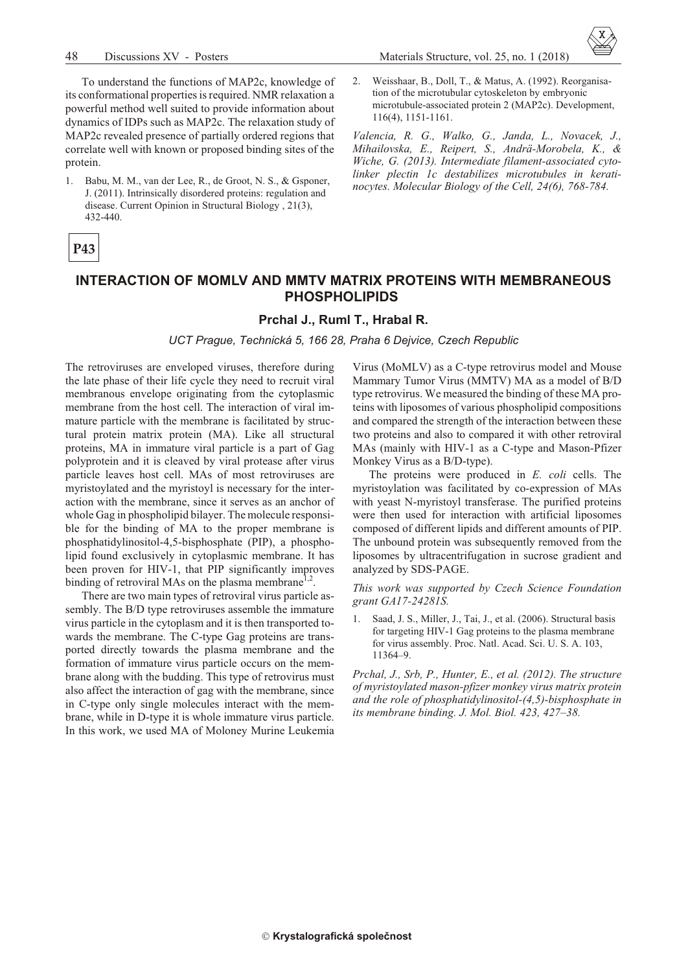To understand the functions of MAP2c, knowledge of its conformational properties is required. NMR relaxation a powerful method well suited to provide information about dynamics of IDPs such as MAP2c. The relaxation study of MAP2c revealed presence of partially ordered regions that correlate well with known or proposed binding sites of the protein.

 $\mathbf{1}$ . Babu, M. M., van der Lee, R., de Groot, N. S., & Gsponer, J. (2011). Intrinsically disordered proteins: regulation and disease. Current Opinion in Structural Biology , 21(3), 432-440.

| ---<br>- -<br>۰. |
|------------------|
|------------------|

 $\overline{2}$ . Weisshaar, B., Doll, T., & Matus, A. (1992). Reorganisation of the microtubular cytoskeleton by embryonic microtubule-associated protein 2 (MAP2c). Development,  $116(4)$ ,  $1151-1161$ .

Valencia, R. G., Walko, G., Janda, L., Novacek, J., Mihailovska, E., Reipert, S., Andrä-Morobela, K., & Wiche, G. (2013). Intermediate filament-associated cytolinker plectin 1c destabilizes microtubules in keratinocytes. Molecular Biology of the Cell, 24(6), 768-784.

#### **INTERACTION OF MOMLV AND MMTV MATRIX PROTEINS WITH MEMBRANEOUS PHOSPHOLIPIDS**

#### Prchal J., Ruml T., Hrabal R.

UCT Prague, Technická 5, 166 28, Praha 6 Dejvice, Czech Republic

The retroviruses are enveloped viruses, therefore during the late phase of their life cycle they need to recruit viral membranous envelope originating from the cytoplasmic membrane from the host cell. The interaction of viral immature particle with the membrane is facilitated by structural protein matrix protein (MA). Like all structural proteins, MA in immature viral particle is a part of Gag polyprotein and it is cleaved by viral protease after virus particle leaves host cell. MAs of most retroviruses are myristoylated and the myristoyl is necessary for the interaction with the membrane, since it serves as an anchor of whole Gag in phospholipid bilayer. The molecule responsible for the binding of MA to the proper membrane is phosphatidylinositol-4,5-bisphosphate (PIP), a phospholipid found exclusively in cytoplasmic membrane. It has been proven for HIV-1, that PIP significantly improves binding of retroviral MAs on the plasma membrane<sup> $1,2$ </sup>.

There are two main types of retroviral virus particle assembly. The B/D type retroviruses assemble the immature virus particle in the cytoplasm and it is then transported towards the membrane. The C-type Gag proteins are transported directly towards the plasma membrane and the formation of immature virus particle occurs on the membrane along with the budding. This type of retrovirus must also affect the interaction of gag with the membrane, since in C-type only single molecules interact with the membrane, while in D-type it is whole immature virus particle. In this work, we used MA of Moloney Murine Leukemia Virus (MoMLV) as a C-type retrovirus model and Mouse Mammary Tumor Virus (MMTV) MA as a model of B/D type retrovirus. We measured the binding of these MA proteins with liposomes of various phospholipid compositions and compared the strength of the interaction between these two proteins and also to compared it with other retroviral MAs (mainly with HIV-1 as a C-type and Mason-Pfizer Monkey Virus as a B/D-type).

The proteins were produced in E. coli cells. The myristoylation was facilitated by co-expression of MAs with yeast N-myristoyl transferase. The purified proteins were then used for interaction with artificial liposomes composed of different lipids and different amounts of PIP. The unbound protein was subsequently removed from the liposomes by ultracentrifugation in sucrose gradient and analyzed by SDS-PAGE.

This work was supported by Czech Science Foundation grant GA17-24281S.

Saad, J. S., Miller, J., Tai, J., et al. (2006). Structural basis  $1$ . for targeting HIV-1 Gag proteins to the plasma membrane for virus assembly. Proc. Natl. Acad. Sci. U. S. A. 103,  $11364 - 9$ 

Prchal, J., Srb, P., Hunter, E., et al. (2012). The structure of myristoylated mason-pfizer monkey virus matrix protein and the role of phosphatidylinositol-(4,5)-bisphosphate in its membrane binding. J. Mol. Biol. 423, 427-38.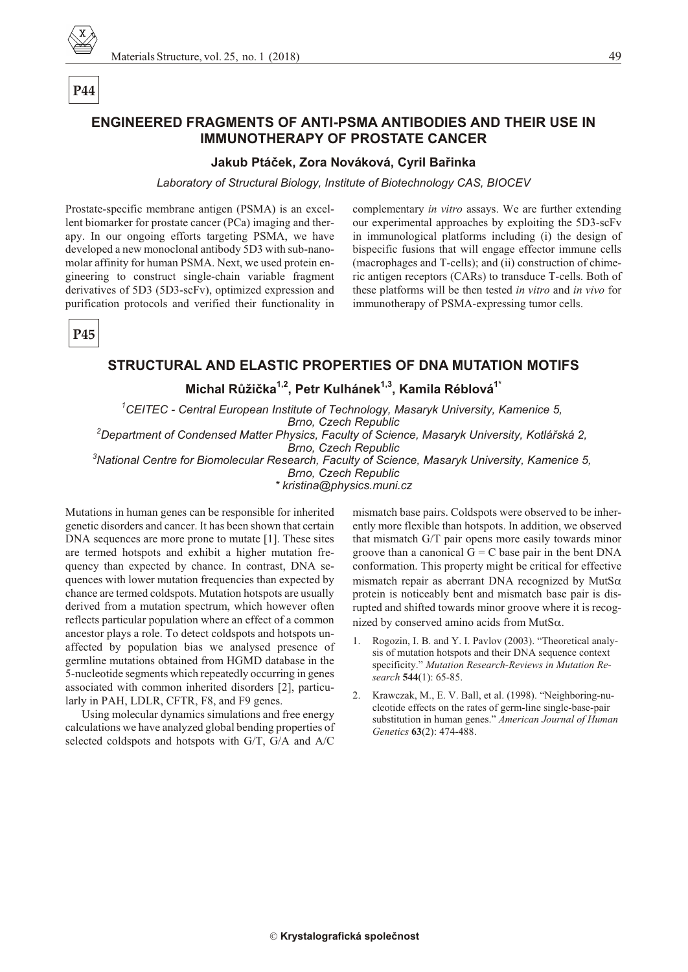

# **ENGINEERED FRAGMENTS OF ANTI-PSMA ANTIBODIES AND THEIR USE IN IMMUNOTHERAPY OF PROSTATE CANCER**

#### Jakub Ptáček, Zora Nováková, Cyril Bařinka

#### Laboratory of Structural Biology, Institute of Biotechnology CAS, BIOCEV

Prostate-specific membrane antigen (PSMA) is an excellent biomarker for prostate cancer (PCa) imaging and therapy. In our ongoing efforts targeting PSMA, we have developed a new monoclonal antibody 5D3 with sub-nanomolar affinity for human PSMA. Next, we used protein engineering to construct single-chain variable fragment derivatives of 5D3 (5D3-scFv), optimized expression and purification protocols and verified their functionality in complementary in vitro assays. We are further extending our experimental approaches by exploiting the 5D3-scFv in immunological platforms including (i) the design of bispecific fusions that will engage effector immune cells (macrophages and T-cells); and (ii) construction of chimeric antigen receptors (CARs) to transduce T-cells. Both of these platforms will be then tested in vitro and in vivo for immunotherapy of PSMA-expressing tumor cells.

P45

#### STRUCTURAL AND ELASTIC PROPERTIES OF DNA MUTATION MOTIFS

Michal Růžička<sup>1,2</sup>, Petr Kulhánek<sup>1,3</sup>, Kamila Réblová<sup>1\*</sup>

 $1$ CEITEC - Central European Institute of Technology, Masaryk University, Kamenice 5, **Brno, Czech Republic** 

<sup>2</sup>Department of Condensed Matter Physics, Faculty of Science, Masaryk University, Kotlářská 2, Brno, Czech Republic

<sup>3</sup>National Centre for Biomolecular Research, Faculty of Science, Masaryk University, Kamenice 5,

**Brno, Czech Republic** 

\* kristina@physics.muni.cz

Mutations in human genes can be responsible for inherited genetic disorders and cancer. It has been shown that certain DNA sequences are more prone to mutate [1]. These sites are termed hotspots and exhibit a higher mutation frequency than expected by chance. In contrast, DNA sequences with lower mutation frequencies than expected by chance are termed coldspots. Mutation hotspots are usually derived from a mutation spectrum, which however often reflects particular population where an effect of a common ancestor plays a role. To detect coldspots and hotspots unaffected by population bias we analysed presence of germline mutations obtained from HGMD database in the 5-nucleotide segments which repeatedly occurring in genes associated with common inherited disorders [2], particularly in PAH, LDLR, CFTR, F8, and F9 genes.

Using molecular dynamics simulations and free energy calculations we have analyzed global bending properties of selected coldspots and hotspots with G/T, G/A and A/C

mismatch base pairs. Coldspots were observed to be inherently more flexible than hotspots. In addition, we observed that mismatch G/T pair opens more easily towards minor groove than a canonical  $G = C$  base pair in the bent DNA conformation. This property might be critical for effective mismatch repair as aberrant DNA recognized by MutS protein is noticeably bent and mismatch base pair is disrupted and shifted towards minor groove where it is recognized by conserved amino acids from MutS.

- Rogozin, I. B. and Y. I. Paylov (2003). "Theoretical analysis of mutation hotspots and their DNA sequence context specificity." Mutation Research-Reviews in Mutation Research 544(1): 65-85.
- $\gamma$ Krawczak, M., E. V. Ball, et al. (1998). "Neighboring-nucleotide effects on the rates of germ-line single-base-pair substitution in human genes." American Journal of Human Genetics 63(2): 474-488.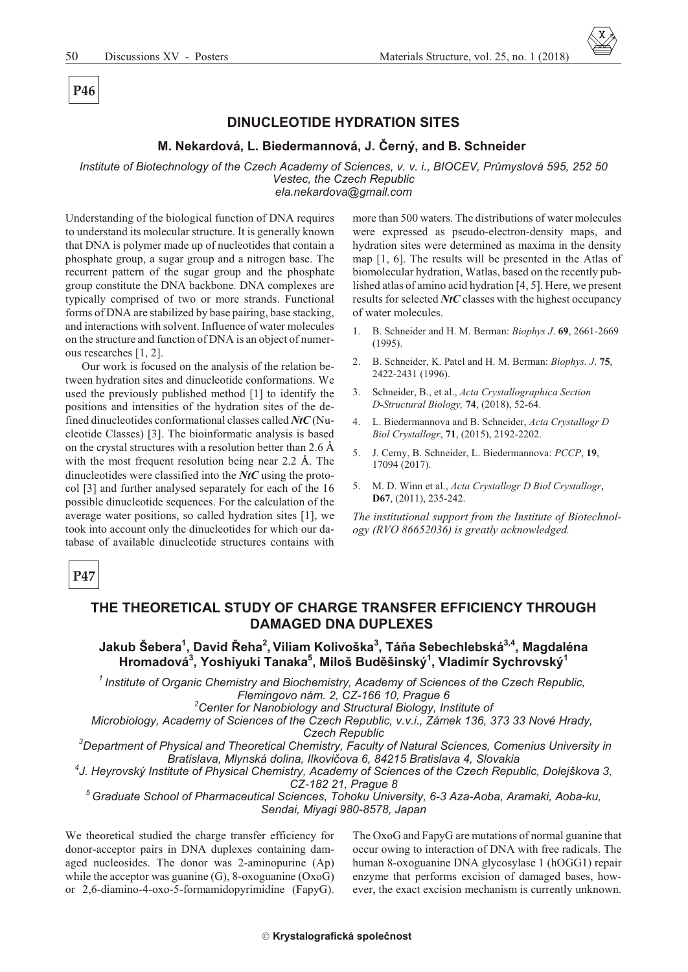#### **DINUCLEOTIDE HYDRATION SITES**

#### M. Nekardová, L. Biedermannová, J. Černý, and B. Schneider

Institute of Biotechnology of the Czech Academy of Sciences, v. v. i., BIOCEV, Průmyslová 595, 252 50 Vestec, the Czech Republic ela.nekardova@gmail.com

Understanding of the biological function of DNA requires to understand its molecular structure. It is generally known that DNA is polymer made up of nucleotides that contain a phosphate group, a sugar group and a nitrogen base. The recurrent pattern of the sugar group and the phosphate group constitute the DNA backbone. DNA complexes are typically comprised of two or more strands. Functional forms of DNA are stabilized by base pairing, base stacking, and interactions with solvent. Influence of water molecules on the structure and function of DNA is an object of numerous researches [1, 2].

Our work is focused on the analysis of the relation between hydration sites and dinucleotide conformations. We used the previously published method [1] to identify the positions and intensities of the hydration sites of the defined dinucleotides conformational classes called NtC (Nucleotide Classes) [3]. The bioinformatic analysis is based on the crystal structures with a resolution better than 2.6 Å with the most frequent resolution being near 2.2 Å. The dinucleotides were classified into the  $N<sub>t</sub>C$  using the protocol [3] and further analysed separately for each of the 16 possible dinucleotide sequences. For the calculation of the average water positions, so called hydration sites [1], we took into account only the dinucleotides for which our database of available dinucleotide structures contains with

more than 500 waters. The distributions of water molecules were expressed as pseudo-electron-density maps, and hydration sites were determined as maxima in the density map  $[1, 6]$ . The results will be presented in the Atlas of biomolecular hydration, Watlas, based on the recently published atlas of amino acid hydration [4, 5]. Here, we present results for selected NtC classes with the highest occupancy of water molecules.

- 1. B. Schneider and H. M. Berman: Biophys J. 69, 2661-2669  $(1995).$
- 2. B. Schneider, K. Patel and H. M. Berman: Biophys. J. 75, 2422-2431 (1996).
- $\mathcal{E}$ Schneider, B., et al., Acta Crystallographica Section D-Structural Biology, 74, (2018), 52-64.
- 4. L. Biedermannova and B. Schneider, Acta Crystallogr D Biol Crystallogr, 71, (2015), 2192-2202.
- 5. J. Cerny, B. Schneider, L. Biedermannova: PCCP, 19, 17094 (2017).
- 5. M. D. Winn et al., Acta Crystallogr D Biol Crystallogr, D67, (2011), 235-242.

The institutional support from the Institute of Biotechnology (RVO 86652036) is greatly acknowledged.

#### P47

#### THE THEORETICAL STUDY OF CHARGE TRANSFER EFFICIENCY THROUGH **DAMAGED DNA DUPLEXES**

Jakub Šebera<sup>1</sup>, David Řeha<sup>2</sup>, Viliam Kolivoška<sup>3</sup>, Táňa Sebechlebská<sup>3,4</sup>, Magdaléna Hromadová $^3$ , Yoshiyuki Tanaka $^5$ , Miloš Buděšinský $^1$ , Vladimír Sychrovský $^1$ 

<sup>1</sup> Institute of Organic Chemistry and Biochemistry, Academy of Sciences of the Czech Republic, Flemingovo nám. 2, CZ-166 10, Prague 6

<sup>2</sup>Center for Nanobiology and Structural Biology, Institute of

Microbiology, Academy of Sciences of the Czech Republic, v.v.i., Zámek 136, 373 33 Nové Hrady, **Czech Republic** 

<sup>3</sup>Department of Physical and Theoretical Chemistry, Faculty of Natural Sciences, Comenius University in Bratislava, Mlynská dolina, Ilkovičova 6, 84215 Bratislava 4, Slovakia

<sup>4</sup>J. Heyrovský Institute of Physical Chemistry, Academy of Sciences of the Czech Republic, Dolejškova 3, CZ-182 21, Prague 8

<sup>5</sup> Graduate School of Pharmaceutical Sciences, Tohoku University, 6-3 Aza-Aoba, Aramaki, Aoba-ku, Sendai, Miyagi 980-8578, Japan

We theoretical studied the charge transfer efficiency for donor-acceptor pairs in DNA duplexes containing damaged nucleosides. The donor was 2-aminopurine (Ap) while the acceptor was guanine  $(G)$ , 8-oxoguanine  $(Ox \circ G)$ or 2,6-diamino-4-oxo-5-formamidopyrimidine (FapyG).

The OxoG and FapyG are mutations of normal guanine that occur owing to interaction of DNA with free radicals. The human 8-oxoguanine DNA glycosylase 1 (hOGG1) repair enzyme that performs excision of damaged bases, however, the exact excision mechanism is currently unknown.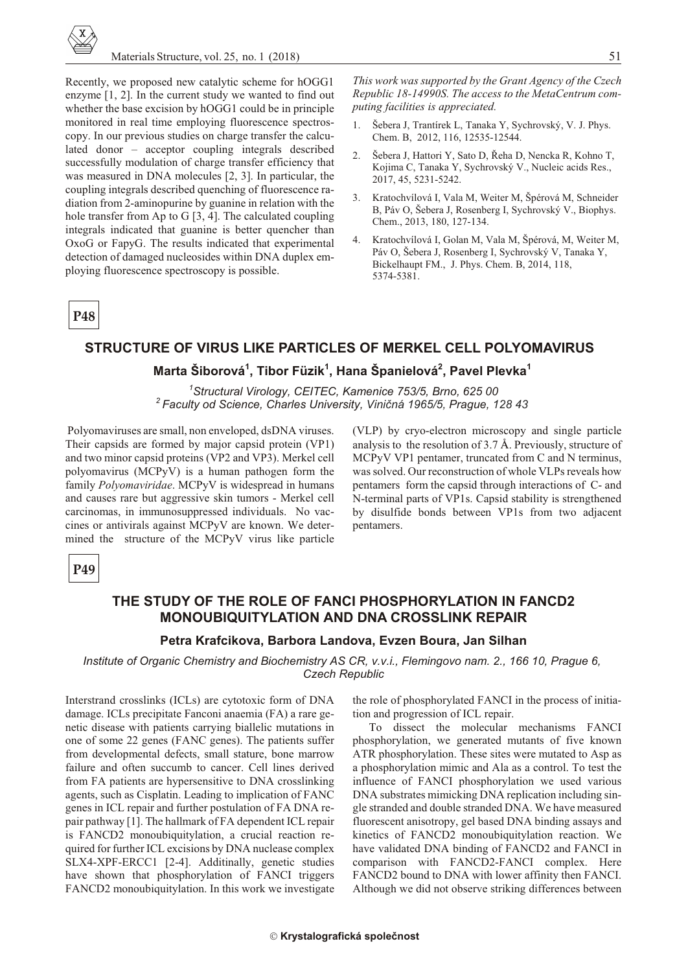

Recently, we proposed new catalytic scheme for hOGG1 enzyme  $[1, 2]$ . In the current study we wanted to find out whether the base excision by  $hOGG1$  could be in principle monitored in real time employing fluorescence spectroscopy. In our previous studies on charge transfer the calculated donor – acceptor coupling integrals described successfully modulation of charge transfer efficiency that was measured in DNA molecules  $[2, 3]$ . In particular, the coupling integrals described quenching of fluorescence radiation from 2-aminopurine by guanine in relation with the hole transfer from Ap to G  $[3, 4]$ . The calculated coupling integrals indicated that guanine is better quencher than OxoG or FapyG. The results indicated that experimental detection of damaged nucleosides within DNA duplex employing fluorescence spectroscopy is possible.

*This work was sup ported by the Grant Agency of the Czech Re pub lic 18-14990S. The ac cess to the MetaCentrum com puting facilities is appreciated.* 

- 1. Šebera J, Trantírek L, Tanaka Y, Sychrovský, V. J. Phys. Chem. B, 2012, 116, 12535-12544.
- 2. Šebera J, Hattori Y, Sato D, Řeha D, Nencka R, Kohno T, Kojima C, Tanaka Y, Sychrovský V., Nucleic acids Res., 2017, 45, 5231-5242.
- 3. Kratochvílová I, Vala M, Weiter M, Špérová M, Schneider B, Páv O, Šebera J, Rosenberg I, Sychrovský V., Biophys. Chem., 2013, 180, 127-134.
- 4. Kratochvílová I, Golan M, Vala M, Špérová, M, Weiter M, Páv O, Šebera J, Rosenberg I, Sychrovský V, Tanaka Y, Bickelhaupt FM., J. Phys. Chem. B, 2014, 118, 5374-5381.

**P48**

#### **STRUCTURE OF VIRUS LIKE PARTICLES OF MERKEL CELL POLYOMAVIRUS**

#### **Marta Šiborová<sup>1</sup> , Tibor Füzik<sup>1</sup> , Hana Španielová<sup>2</sup> , Pavel Plevka<sup>1</sup>**

*<sup>1</sup>Struc tural Vi rol ogy, CEITEC, Kamenice 753/5, Brno, 625 00* <sup>2</sup> Faculty od Science, Charles University, Viničná 1965/5, Prague, 128 43

Polyomaviruses are small, non enveloped, dsDNA viruses. Their capsids are formed by major capsid protein (VP1) and two minor capsid proteins (VP2 and VP3). Merkel cell polyomavirus (MCPyV) is a human pathogen form the family *Polyomaviridae*. MCPyV is widespread in humans and causes rare but aggressive skin tumors - Merkel cell carcinomas, in immunosuppressed individuals. No vaccines or antivirals against MCPyV are known. We determined the structure of the MCPyV virus like particle

 $(VLP)$  by cryo-electron microscopy and single particle analysis to the resolution of  $3.7 \text{ Å}$ . Previously, structure of MCPyV VP1 pentamer, truncated from C and N terminus, was solved. Our reconstruction of whole VLPs reveals how pentamers form the capsid through interactions of C- and N-terminal parts of VP1s. Capsid stability is strengthened by disulfide bonds between VP1s from two adjacent pentamers.

**P49**

#### **THE STUDY OF THE ROLE OF FANCI PHOSPHORYLATION IN FANCD2 MONOUBIQUITYLATION AND DNA CROSSLINK REPAIR**

#### **Petra Krafcikova, Barbora Landova, Evzen Boura, Jan Silhan**

Institute of Organic Chemistry and Biochemistry AS CR, v.v.i., Flemingovo nam. 2., 166 10, Prague 6, **Czech Republic** 

Interstrand crosslinks (ICLs) are cytotoxic form of DNA damage. ICLs precipitate Fanconi anaemia (FA) a rare genetic disease with patients carrying biallelic mutations in one of some 22 genes (FANC genes). The patients suffer from developmental defects, small stature, bone marrow failure and often succumb to cancer. Cell lines derived from FA patients are hypersensitive to DNA crosslinking agents, such as Cisplatin. Leading to implication of FANC genes in ICL repair and further postulation of FA DNA repair pathway  $[1]$ . The hallmark of FA dependent ICL repair is FANCD2 monoubiquitylation, a crucial reaction required for further ICL excisions by DNA nuclease complex SLX4-XPF-ERCC1 [2-4]. Additinally, genetic studies have shown that phosphorylation of FANCI triggers FANCD2 monoubiquitylation. In this work we investigate

the role of phosphorylated FANCI in the process of initiation and progression of ICL repair.

To dissect the molecular mechanisms FANCI phosphorylation, we generated mutants of five known ATR phosphorylation. These sites were mutated to Asp as a phosphorylation mimic and Ala as a control. To test the influence of FANCI phosphorylation we used various DNA substrates mimicking DNA replication including single stranded and double stranded DNA. We have measured fluorescent anisotropy, gel based DNA binding assays and kinetics of FANCD2 monoubiquitylation reaction. We have validated DNA binding of FANCD2 and FANCI in comparison with FANCD2-FANCI complex. Here FANCD2 bound to DNA with lower affinity then FANCI. Although we did not observe striking differences between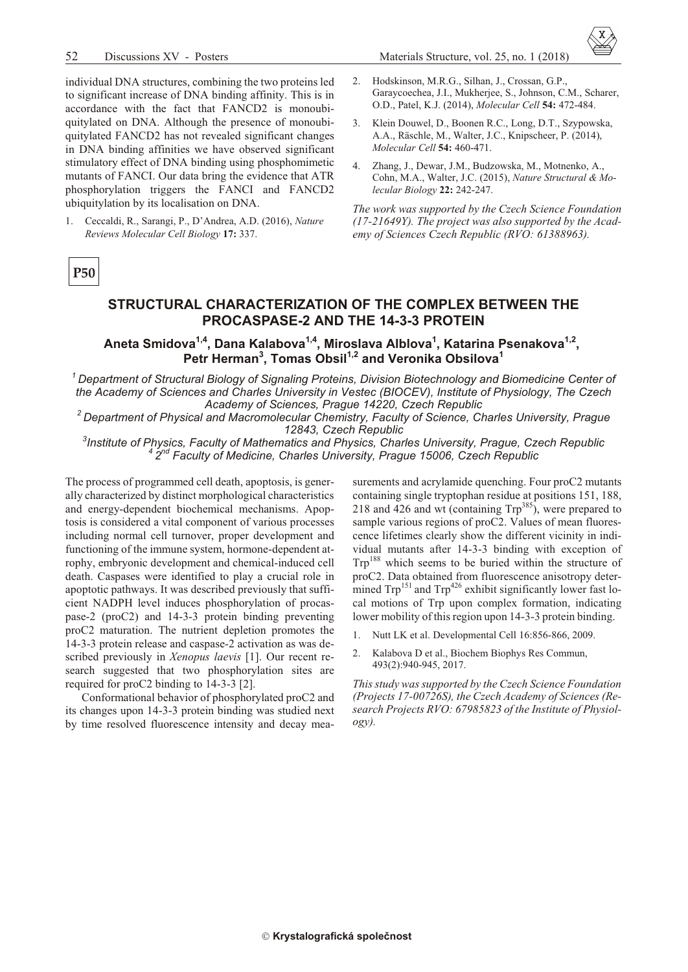individual DNA structures, combining the two proteins led to significant increase of DNA binding affinity. This is in accordance with the fact that FANCD2 is monoubiquitylated on DNA. Although the presence of monoubiquitylated FANCD2 has not revealed significant changes in DNA binding affinities we have observed significant stimulatory effect of DNA binding using phosphomimetic mutants of FANCI. Our data bring the evidence that ATR phosphorylation triggers the FANCI and FANCD2 ubiquitylation by its localisation on DNA.

1. Ceccaldi, R., Sarangi, P., D'Andrea, A.D. (2016), *Na ture Re views Mo lec u lar Cell Bi ol ogy* **17:** 337.

- 2. Hodskinson, M.R.G., Silhan, J., Crossan, G.P., Garaycoechea, J.I., Mukherjee, S., Johnson, C.M., Scharer, O.D., Patel, K.J. (2014), *Mo lec u lar Cell* **54:** 472-484.
- 3. Klein Douwel, D., Boonen R.C., Long, D.T., Szypowska, A.A., Räschle, M., Walter, J.C., Knipscheer, P. (2014), *Mo lec u lar Cell* **54:** 460-471.
- 4. Zhang, J., Dewar, J.M., Budzowska, M., Motnenko, A., Cohn, M.A., Walter, J.C. (2015), *Nature Structural & Molec u lar Bi ol ogy* **22:** 242-247.

The work was supported by the Czech Science Foundation *(17-21649Y). The pro ject was also sup ported by the Acad emy of Sciences Czech Republic (RVO: 61388963).* 

# **P50**

#### **STRUCTURAL CHARACTERIZATION OF THE COMPLEX BETWEEN THE PROCASPASE-2 AND THE 14-3-3 PROTEIN**

#### **Aneta Smidova1,4, Dana Kalabova1,4, Miroslava Alblova<sup>1</sup> , Katarina Psenakova1,2 , Petr Herman<sup>3</sup> , Tomas Obsil1,2 and Veronika Obsilova<sup>1</sup>**

<sup>1</sup> Department of Structural Biology of Signaling Proteins, Division Biotechnology and Biomedicine Center of *the Academy of Sciences and Charles University in Vestec (BIOCEV), Institute of Physiology, The Czech* Academy of Sciences, Prague 14220, Czech Republic

<sup>2</sup> Department of Physical and Macromolecular Chemistry, Faculty of Science, Charles University, Prague 12843, Czech Republic

<sup>3</sup> Institute of Physics, Faculty of Mathematics and Physics, Charles University, Prague, Czech Republic  $^4$ 2<sup>nd</sup> Faculty of Medicine, Charles University, Prague 15006, Czech Republic

The process of programmed cell death, apoptosis, is generally characterized by distinct morphological characteristics and energy-dependent biochemical mechanisms. Apoptosis is considered a vital component of various processes including normal cell turnover, proper development and functioning of the immune system, hormone-dependent atrophy, embryonic development and chemical-induced cell death. Caspases were identified to play a crucial role in apoptotic pathways. It was described previously that sufficient NADPH level induces phosphorylation of procaspase-2 ( $proc2$ ) and 14-3-3 protein binding preventing proC2 maturation. The nutrient depletion promotes the 14-3-3 protein release and caspase-2 activation as was described previously in *Xenopus laevis* [1]. Our recent research suggested that two phosphorylation sites are required for proC2 binding to  $14-3-3$  [2].

Conformational behavior of phosphorylated proC2 and its changes upon 14-3-3 protein binding was studied next by time resolved fluorescence intensity and decay measurements and acrylamide quenching. Four proC2 mutants containing single tryptophan residue at positions 151, 188, 218 and 426 and wt (containing  $Trp^{385}$ ), were prepared to sample various regions of proC2. Values of mean fluorescence lifetimes clearly show the different vicinity in individual mutants after 14-3-3 binding with exception of  $Trp<sup>188</sup>$  which seems to be buried within the structure of proC2. Data obtained from fluorescence anisotropy determined  $\text{Trp}^{151}$  and  $\text{Trp}^{426}$  exhibit significantly lower fast local motions of Trp upon complex formation, indicating lower mobility of this region upon 14-3-3 protein binding.

- 1. Nutt LK et al. Developmental Cell 16:856-866, 2009.
- 2. Kalabova D et al., Biochem Biophys Res Commun, 493(2):940-945, 2017.

*This study was supported by the Czech Science Foundation (Projects 17-00726S), the Czech Academy of Sciences (Research Projects RVO: 67985823 of the Institute of Physiology).*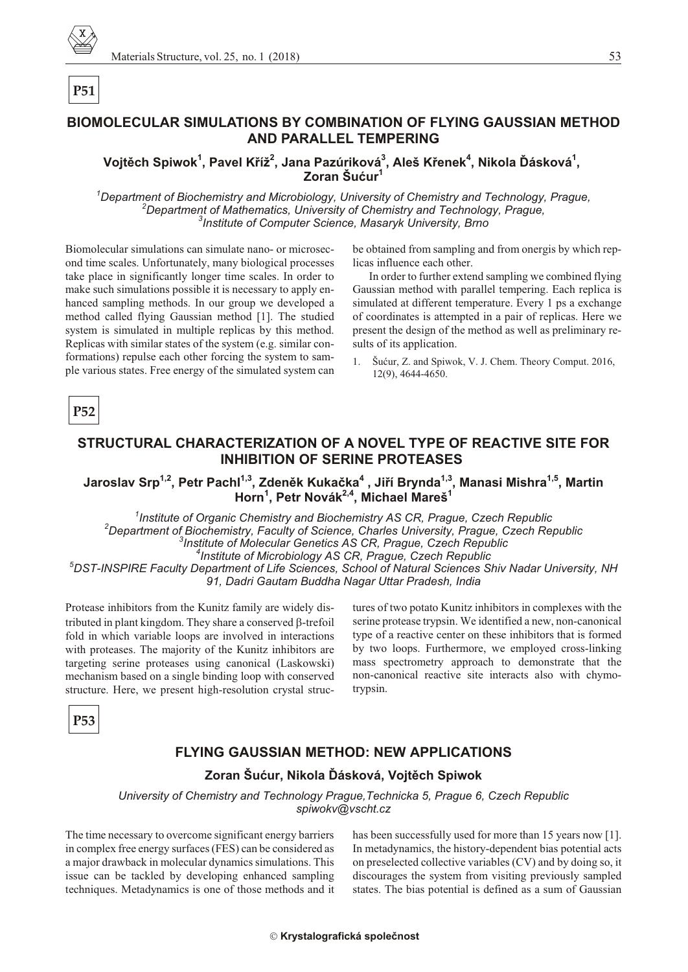

## **BIOMOLECULAR SIMULATIONS BY COMBINATION OF FLYING GAUSSIAN METHOD AND PARALLEL TEMPERING**

#### $\mathbf{V}$ ojtěch Spiwok $^1$ , Pavel Kříž $^2$ , Jana Pazúriková $^3$ , Aleš Křenek $^4$ , Nikola Ďásková $^1$ , **Zoran Šuæur<sup>1</sup>**

<sup>1</sup>*Department of Biochemistry and Microbiology, University of Chemistry and Technology, Prague,* <sup>2</sup>*Department of Mathematics, University of Chemistry and Technology, Prague,* <sup>3</sup> Institute of Computer Science, Masaryk University, Brno

Biomolecular simulations can simulate nano- or microsecond time scales. Unfortunately, many biological processes take place in significantly longer time scales. In order to make such simulations possible it is necessary to apply enhanced sampling methods. In our group we developed a method called flying Gaussian method [1]. The studied system is simulated in multiple replicas by this method. Replicas with similar states of the system (e.g. similar conformations) repulse each other forcing the system to sample various states. Free energy of the simulated system can

be obtained from sampling and from onergis by which replicas influence each other.

In order to further extend sampling we combined flying Gaussian method with parallel tempering. Each replica is simulated at different temperature. Every 1 ps a exchange of coordinates is attempted in a pair of replicas. Here we present the design of the method as well as preliminary results of its application.

1. Šućur, Z. and Spiwok, V. J. Chem. Theory Comput. 2016, 12(9), 4644-4650.

**P52**

#### **STRUCTURAL CHARACTERIZATION OF A NOVEL TYPE OF REACTIVE SITE FOR INHIBITION OF SERINE PROTEASES**

#### **Jaroslav Srp1,2, Petr Pachl1,3, Zdenìk Kukaèka<sup>4</sup> , Jiøí Brynda1,3, Manasi Mishra1,5, Mar tin Horn<sup>1</sup> , Petr Novák2,4 , Mi chael Mareš<sup>1</sup>**

<sup>1</sup> Institute of Organic Chemistry and Biochemistry AS CR, Prague, Czech Republic <sup>2</sup>Department of Biochemistry, Faculty of Science, Charles University, Prague, Czech Republic <sup>3</sup> Institute of Molecular Genetics AS CR, Prague, Czech Republic <sup>4</sup> Institute of Microbiology AS CR, Prague, Czech Republic <sup>5</sup>DST-INSPIRE Faculty Department of Life Sciences, School of Natural Sciences Shiv Nadar University, NH *91, Dadri Gautam Bud dha Nagar Uttar Pradesh, In dia*

Protease inhibitors from the Kunitz family are widely distributed in plant kingdom. They share a conserved -trefoil fold in which variable loops are involved in interactions with proteases. The majority of the Kunitz inhibitors are targeting serine proteases using canonical (Laskowski) mechanism based on a single binding loop with conserved structure. Here, we present high-resolution crystal structures of two potato Kunitz inhibitors in complexes with the serine protease trypsin. We identified a new, non-canonical type of a reactive center on these inhibitors that is formed by two loops. Furthermore, we employed cross-linking mass spectrometry approach to demonstrate that the non-canonical reactive site interacts also with chymotrypsin.

**P53**

## **FLYING GAUSSIAN METHOD: NEW APPLICATIONS**

#### Zoran Šućur, Nikola Ďásková, Vojtěch Spiwok

*University of Chemistry and Technology Prague, Technicka 5, Prague 6, Czech Republic spiwokv@vscht.cz*

The time necessary to overcome significant energy barriers in complex free energy surfaces (FES) can be considered as a major drawback in molecular dynamics simulations. This issue can be tackled by developing enhanced sampling techniques. Metadynamics is one of those methods and it has been successfully used for more than 15 years now [1]. In metadynamics, the history-dependent bias potential acts on preselected collective variables (CV) and by doing so, it discourages the system from visiting previously sampled states. The bias potential is defined as a sum of Gaussian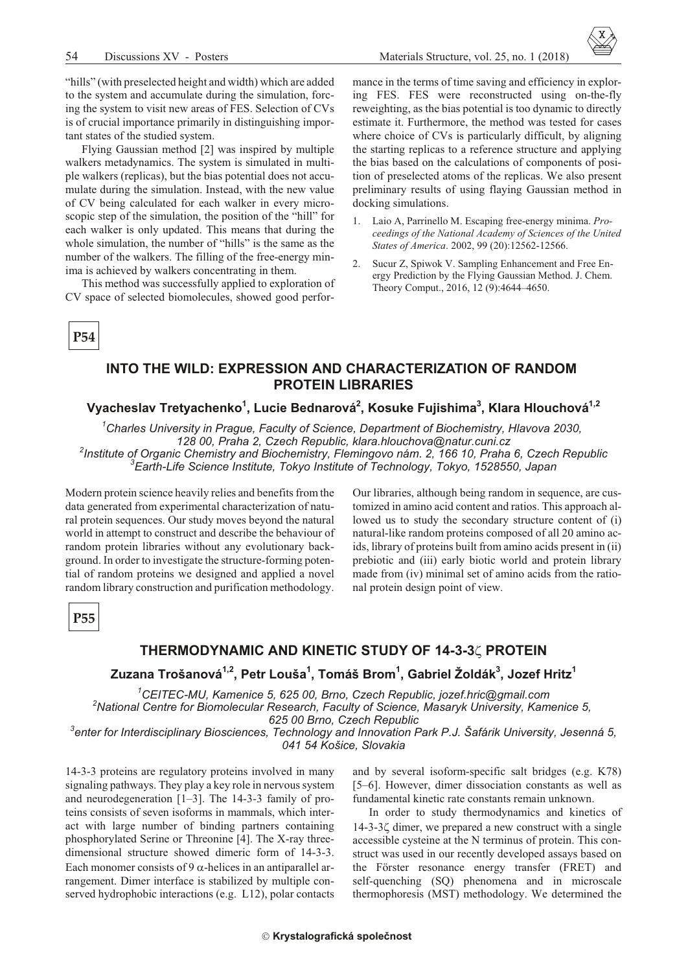"hills" (with preselected height and width) which are added to the system and accumulate during the simulation, forcing the system to visit new areas of FES. Selection of CVs is of crucial importance primarily in distinguishing important states of the studied system.

Flying Gaussian method [2] was inspired by multiple walkers metadynamics. The system is simulated in multiple walkers (replicas), but the bias potential does not accumulate during the simulation. Instead, with the new value of CV being calculated for each walker in every microscopic step of the simulation, the position of the "hill" for each walker is only updated. This means that during the whole simulation, the number of "hills" is the same as the number of the walkers. The filling of the free-energy minima is achieved by walkers concentrating in them.

This method was successfully applied to exploration of CV space of selected biomolecules, showed good performance in the terms of time saving and efficiency in exploring FES. FES were reconstructed using on-the-fly reweighting, as the bias potential is too dynamic to directly estimate it. Furthermore, the method was tested for cases where choice of CVs is particularly difficult, by aligning the starting replicas to a reference structure and applying the bias based on the calculations of components of position of preselected atoms of the replicas. We also present preliminary results of using flaying Gaussian method in docking simulations.

- 1. Laio A, Parrinello M. Escaping free-energy minima. Pro*ceed ings of the Na tional Acad emy of Sci ences of the United States of Amer ica*. 2002, 99 (20):12562-12566.
- 2. Sucur Z, Spiwok V. Sampling Enhancement and Free Energy Prediction by the Flying Gaussian Method. J. Chem. Theory Comput., 2016, 12 (9):4644–4650.



#### **INTO THE WILD: EXPRESSION AND CHARACTERIZATION OF RANDOM PROTEIN LIBRARIES**

#### **Vyacheslav Tretyachenko<sup>1</sup> , Lucie Bednarová<sup>2</sup> , Kosuke Fujishima<sup>3</sup> , Klara Hlouchová1,2**

<sup>1</sup>Charles University in Prague, Faculty of Science, Department of Biochemistry, Hlavova 2030, *128 00, Praha 2, Czech Re pub lic, klara.hlouchova@natur.cuni.cz* <sup>2</sup> Institute of Organic Chemistry and Biochemistry, Flemingovo nám. 2, 166 10, Praha 6, Czech Republic <sup>3</sup>*Earth-Life Science Institute, Tokyo Institute of Technology, Tokyo, 1528550, Japan* 

Modern protein science heavily relies and benefits from the data generated from experimental characterization of natural protein sequences. Our study moves beyond the natural world in attempt to construct and describe the behaviour of random protein libraries without any evolutionary background. In order to investigate the structure-forming potential of random proteins we designed and applied a novel random library construction and purification methodology.

Our libraries, although being random in sequence, are customized in amino acid content and ratios. This approach allowed us to study the secondary structure content of (i) natural-like random proteins composed of all 20 amino acids, library of proteins built from amino acids present in (ii) prebiotic and (iii) early biotic world and protein library made from (iv) minimal set of amino acids from the rational protein design point of view.

**P55**

## **THERMODYNAMIC AND KINETIC STUDY OF 14-3-3 PROTEIN**

#### **Zuzana Trošanová1,2, Petr Louša<sup>1</sup> , Tomáš Brom<sup>1</sup> , Ga briel Žoldák<sup>3</sup> , Jozef Hritz<sup>1</sup>**

*<sup>1</sup>CEITEC-MU, Kamenice 5, 625 00, Brno, Czech Re pub lic, jozef.hric@gmail.com <sup>2</sup>Na tional Cen tre for Biomolecular Re search, Fac ulty of Sci ence, Masaryk Uni ver sity, Kamenice 5,*  625 00 Brno, Czech Republic

<sup>3</sup>enter for Interdisciplinary Biosciences, Technology and Innovation Park P.J. Šafárik University, Jesenná 5, *041 54 Košice, Slovakia*

14-3-3 proteins are regulatory proteins involved in many signaling pathways. They play a key role in nervous system and neurodegeneration  $[1-3]$ . The 14-3-3 family of proteins consists of seven isoforms in mammals, which interact with large number of binding partners containing phosphorylated Serine or Threonine [4]. The X-ray threedimensional structure showed dimeric form of 14-3-3. Each monomer consists of 9 -helices in an antiparallel arrangement. Dimer interface is stabilized by multiple conserved hydrophobic interactions (e.g. L12), polar contacts and by several isoform-specific salt bridges (e.g. K78)  $[5–6]$ . However, dimer dissociation constants as well as fundamental kinetic rate constants remain unknown.

In order to study thermodynamics and kinetics of 14-3-3 dimer, we prepared a new construct with a single accessible cysteine at the N terminus of protein. This construct was used in our recently developed assays based on the Förster resonance energy transfer (FRET) and self-quenching (SQ) phenomena and in microscale thermophoresis (MST) methodology. We determined the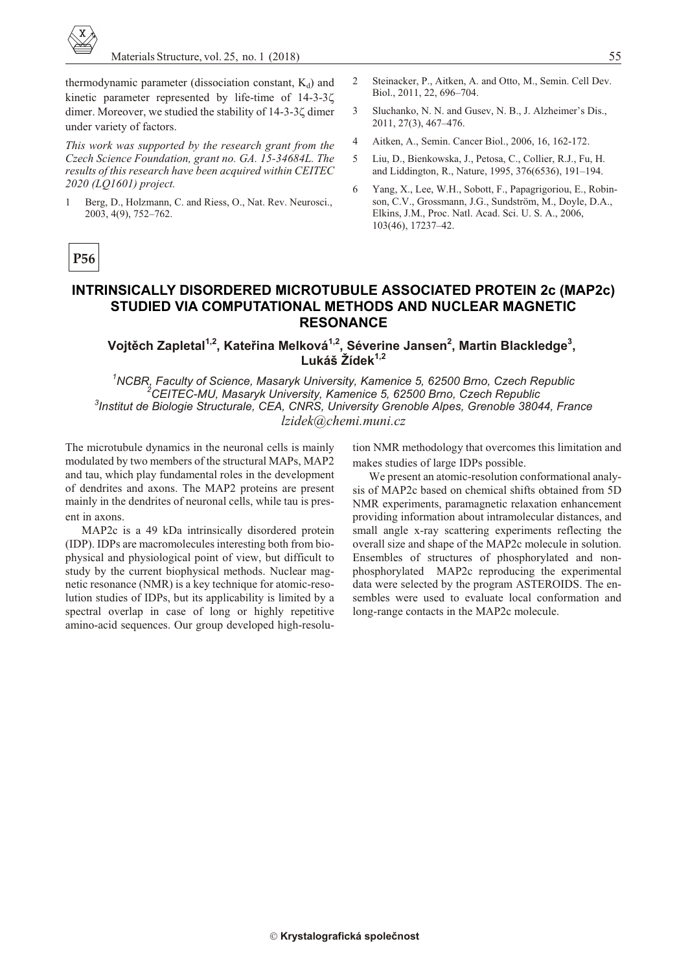

thermodynamic parameter (dissociation constant,  $K_d$ ) and kinetic parameter represented by life-time of 14-3-3 dimer. Moreover, we studied the stability of 14-3-3 dimer under variety of factors.

This work was supported by the research grant from the Czech Science Foundation, grant no. GA. 15-34684L. The results of this research have been acquired within CEITEC  $2020$  (LQ1601) project.

Berg, D., Holzmann, C. and Riess, O., Nat. Rev. Neurosci.,  $\mathbf{1}$ 2003, 4(9), 752-762.

- Steinacker, P., Aitken, A. and Otto, M., Semin. Cell Dev.  $\overline{2}$ Biol., 2011, 22, 696-704.
- $\overline{\mathcal{E}}$ Sluchanko, N. N. and Gusev, N. B., J. Alzheimer's Dis., 2011, 27(3), 467-476.
- $\overline{4}$ Aitken, A., Semin. Cancer Biol., 2006, 16, 162-172.
- 5 Liu, D., Bienkowska, J., Petosa, C., Collier, R.J., Fu, H. and Liddington, R., Nature, 1995, 376(6536), 191-194.
- 6 Yang, X., Lee, W.H., Sobott, F., Papagrigoriou, E., Robinson, C.V., Grossmann, J.G., Sundström, M., Doyle, D.A., Elkins, J.M., Proc. Natl. Acad. Sci. U. S. A., 2006, 103(46), 17237-42.



#### INTRINSICALLY DISORDERED MICROTUBULE ASSOCIATED PROTEIN 2c (MAP2c) STUDIED VIA COMPUTATIONAL METHODS AND NUCLEAR MAGNETIC **RESONANCE**

#### Vojtěch Zapletal<sup>1,2</sup>, Kateřina Melková<sup>1,2</sup>, Séverine Jansen<sup>2</sup>, Martin Blackledge<sup>3</sup>, Lukáš Žídek $1,2$

 $1$ NCBR, Faculty of Science, Masaryk University, Kamenice 5, 62500 Brno, Czech Republic ʿCEITEC-MU, Masaryk University, Kamenice 5, 62500 Brno, Czech Republic <sup>3</sup>Institut de Biologie Structurale, CEA, CNRS, University Grenoble Alpes, Grenoble 38044, France lzidek@chemi.muni.cz

The microtubule dynamics in the neuronal cells is mainly modulated by two members of the structural MAPs, MAP2 and tau, which play fundamental roles in the development of dendrites and axons. The MAP2 proteins are present mainly in the dendrites of neuronal cells, while tau is present in axons.

MAP2c is a 49 kDa intrinsically disordered protein (IDP). IDPs are macromolecules interesting both from biophysical and physiological point of view, but difficult to study by the current biophysical methods. Nuclear magnetic resonance (NMR) is a key technique for atomic-resolution studies of IDPs, but its applicability is limited by a spectral overlap in case of long or highly repetitive amino-acid sequences. Our group developed high-resolu-

tion NMR methodology that overcomes this limitation and makes studies of large IDPs possible.

We present an atomic-resolution conformational analysis of MAP2c based on chemical shifts obtained from 5D NMR experiments, paramagnetic relaxation enhancement providing information about intramolecular distances, and small angle x-ray scattering experiments reflecting the overall size and shape of the MAP2c molecule in solution. Ensembles of structures of phosphorylated and nonphosphorylated MAP2c reproducing the experimental data were selected by the program ASTEROIDS. The ensembles were used to evaluate local conformation and long-range contacts in the MAP2c molecule.